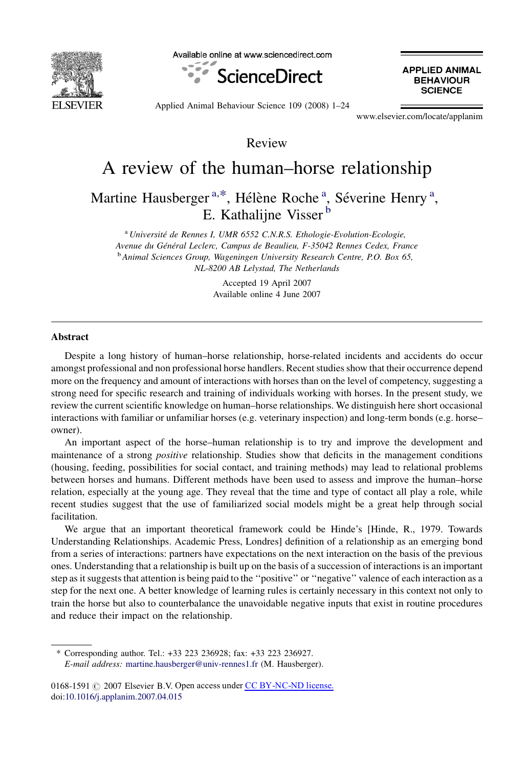

Available online at www.sciencedirect.com



**APPLIED ANIMAL BEHAVIOUR SCIENCE** 

Applied Animal Behaviour Science 109 (2008) 1–24

www.elsevier.com/locate/applanim

Review

# A review of the human–horse relationship

Martine Hausberger<sup>a,\*</sup>, Hélène Roche<sup>a</sup>, Séverine Henry<sup>a</sup>, E. Kathalijne Visser<sup>b</sup>

<sup>a</sup> Université de Rennes I, UMR 6552 C.N.R.S. Ethologie-Evolution-Ecologie, Avenue du Général Leclerc, Campus de Beaulieu, F-35042 Rennes Cedex, France <sup>b</sup> Animal Sciences Group, Wageningen University Research Centre, P.O. Box 65, NL-8200 AB Lelystad, The Netherlands

> Accepted 19 April 2007 Available online 4 June 2007

## Abstract

Despite a long history of human–horse relationship, horse-related incidents and accidents do occur amongst professional and non professional horse handlers. Recent studies show that their occurrence depend more on the frequency and amount of interactions with horses than on the level of competency, suggesting a strong need for specific research and training of individuals working with horses. In the present study, we review the current scientific knowledge on human–horse relationships. We distinguish here short occasional interactions with familiar or unfamiliar horses (e.g. veterinary inspection) and long-term bonds (e.g. horse– owner).

An important aspect of the horse–human relationship is to try and improve the development and maintenance of a strong *positive* relationship. Studies show that deficits in the management conditions (housing, feeding, possibilities for social contact, and training methods) may lead to relational problems between horses and humans. Different methods have been used to assess and improve the human–horse relation, especially at the young age. They reveal that the time and type of contact all play a role, while recent studies suggest that the use of familiarized social models might be a great help through social facilitation.

We argue that an important theoretical framework could be Hinde's [Hinde, R., 1979. Towards Understanding Relationships. Academic Press, Londres] definition of a relationship as an emerging bond from a series of interactions: partners have expectations on the next interaction on the basis of the previous ones. Understanding that a relationship is built up on the basis of a succession of interactions is an important step as it suggests that attention is being paid to the ''positive'' or ''negative'' valence of each interaction as a step for the next one. A better knowledge of learning rules is certainly necessary in this context not only to train the horse but also to counterbalance the unavoidable negative inputs that exist in routine procedures and reduce their impact on the relationship.

<sup>\*</sup> Corresponding author. Tel.: +33 223 236928; fax: +33 223 236927. E-mail address: [martine.hausberger@univ-rennes1.fr](mailto:martine.hausberger@univ-rennes1.fr) (M. Hausberger).

<sup>0168-1591 © 2007</sup> Elsevier B.V. Open access under [CC BY-NC-ND license](http://creativecommons.org/licenses/by-nc-nd/3.0/). doi:[10.1016/j.applanim.2007.04.015](http://dx.doi.org/10.1016/j.applanim.2007.04.015)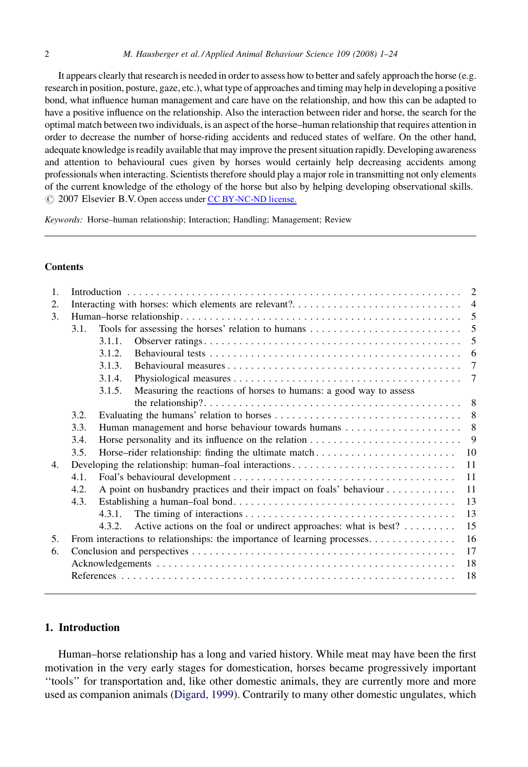It appears clearly that research is needed in order to assess how to better and safely approach the horse (e.g. research in position, posture, gaze, etc.), what type of approaches and timing may help in developing a positive bond, what influence human management and care have on the relationship, and how this can be adapted to have a positive influence on the relationship. Also the interaction between rider and horse, the search for the optimal match between two individuals, is an aspect of the horse–human relationship that requires attention in order to decrease the number of horse-riding accidents and reduced states of welfare. On the other hand, adequate knowledge is readily available that may improve the present situation rapidly. Developing awareness and attention to behavioural cues given by horses would certainly help decreasing accidents among professionals when interacting. Scientists therefore should play a major role in transmitting not only elements of the current knowledge of the ethology of the horse but also by helping developing observational skills.  $\oslash$  2007 Elsevier B.V. Open access under [CC BY-NC-ND license](http://creativecommons.org/licenses/by-nc-nd/3.0/).

Keywords: Horse–human relationship; Interaction; Handling; Management; Review

## **Contents**

|      |                                                                             | $\overline{4}$                                                                                                                                                                                                                                                  |
|------|-----------------------------------------------------------------------------|-----------------------------------------------------------------------------------------------------------------------------------------------------------------------------------------------------------------------------------------------------------------|
|      |                                                                             | 5                                                                                                                                                                                                                                                               |
| 3.1. |                                                                             | 5                                                                                                                                                                                                                                                               |
|      | 3.1.1.                                                                      | 5                                                                                                                                                                                                                                                               |
|      | 3.1.2.                                                                      | 6                                                                                                                                                                                                                                                               |
|      | 3.1.3.                                                                      | -7                                                                                                                                                                                                                                                              |
|      | 3.1.4.                                                                      | -7                                                                                                                                                                                                                                                              |
|      | Measuring the reactions of horses to humans: a good way to assess<br>3.1.5. |                                                                                                                                                                                                                                                                 |
|      |                                                                             |                                                                                                                                                                                                                                                                 |
| 3.2. |                                                                             | 8                                                                                                                                                                                                                                                               |
| 3.3. |                                                                             | 8                                                                                                                                                                                                                                                               |
| 3.4. | Horse personality and its influence on the relation                         | 9                                                                                                                                                                                                                                                               |
| 3.5. |                                                                             | 10                                                                                                                                                                                                                                                              |
|      |                                                                             | 11                                                                                                                                                                                                                                                              |
| 4.1. |                                                                             | 11                                                                                                                                                                                                                                                              |
| 4.2. |                                                                             | 11                                                                                                                                                                                                                                                              |
| 4.3. |                                                                             | 13                                                                                                                                                                                                                                                              |
|      | 4.3.1.                                                                      | 13                                                                                                                                                                                                                                                              |
|      | Active actions on the foal or undirect approaches: what is best?<br>4.3.2.  | 15                                                                                                                                                                                                                                                              |
|      |                                                                             | 16                                                                                                                                                                                                                                                              |
|      |                                                                             | 17                                                                                                                                                                                                                                                              |
|      |                                                                             | 18                                                                                                                                                                                                                                                              |
|      |                                                                             | 18                                                                                                                                                                                                                                                              |
|      |                                                                             | Horse-rider relationship: finding the ultimate match<br>Developing the relationship: human-foal interactions<br>A point on husbandry practices and their impact on foals' behaviour<br>From interactions to relationships: the importance of learning processes |

# 1. Introduction

Human–horse relationship has a long and varied history. While meat may have been the first motivation in the very early stages for domestication, horses became progressively important ''tools'' for transportation and, like other domestic animals, they are currently more and more used as companion animals ([Digard, 1999](#page-18-0)). Contrarily to many other domestic ungulates, which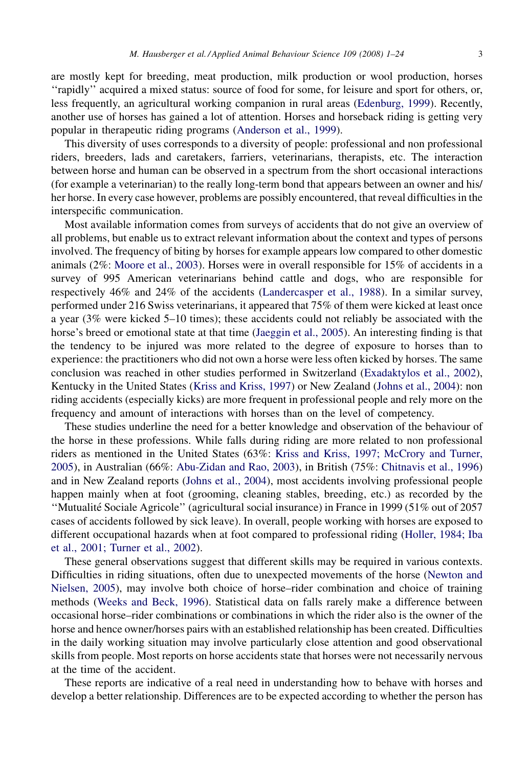are mostly kept for breeding, meat production, milk production or wool production, horses ''rapidly'' acquired a mixed status: source of food for some, for leisure and sport for others, or, less frequently, an agricultural working companion in rural areas ([Edenburg, 1999](#page-18-0)). Recently, another use of horses has gained a lot of attention. Horses and horseback riding is getting very popular in therapeutic riding programs ([Anderson et al., 1999](#page-17-0)).

This diversity of uses corresponds to a diversity of people: professional and non professional riders, breeders, lads and caretakers, farriers, veterinarians, therapists, etc. The interaction between horse and human can be observed in a spectrum from the short occasional interactions (for example a veterinarian) to the really long-term bond that appears between an owner and his/ her horse. In every case however, problems are possibly encountered, that reveal difficulties in the interspecific communication.

Most available information comes from surveys of accidents that do not give an overview of all problems, but enable us to extract relevant information about the context and types of persons involved. The frequency of biting by horses for example appears low compared to other domestic animals (2%: [Moore et al., 2003\)](#page-21-0). Horses were in overall responsible for 15% of accidents in a survey of 995 American veterinarians behind cattle and dogs, who are responsible for respectively 46% and 24% of the accidents ([Landercasper et al., 1988\)](#page-20-0). In a similar survey, performed under 216 Swiss veterinarians, it appeared that 75% of them were kicked at least once a year (3% were kicked 5–10 times); these accidents could not reliably be associated with the horse's breed or emotional state at that time ([Jaeggin et al., 2005\)](#page-19-0). An interesting finding is that the tendency to be injured was more related to the degree of exposure to horses than to experience: the practitioners who did not own a horse were less often kicked by horses. The same conclusion was reached in other studies performed in Switzerland ([Exadaktylos et al., 2002](#page-18-0)), Kentucky in the United States [\(Kriss and Kriss, 1997](#page-20-0)) or New Zealand [\(Johns et al., 2004](#page-20-0)): non riding accidents (especially kicks) are more frequent in professional people and rely more on the frequency and amount of interactions with horses than on the level of competency.

These studies underline the need for a better knowledge and observation of the behaviour of the horse in these professions. While falls during riding are more related to non professional riders as mentioned in the United States (63%: [Kriss and Kriss, 1997; McCrory and Turner,](#page-20-0) [2005](#page-20-0)), in Australian (66%: [Abu-Zidan and Rao, 2003\)](#page-17-0), in British (75%: [Chitnavis et al., 1996\)](#page-18-0) and in New Zealand reports [\(Johns et al., 2004](#page-20-0)), most accidents involving professional people happen mainly when at foot (grooming, cleaning stables, breeding, etc.) as recorded by the ''Mutualite´ Sociale Agricole'' (agricultural social insurance) in France in 1999 (51% out of 2057 cases of accidents followed by sick leave). In overall, people working with horses are exposed to different occupational hazards when at foot compared to professional riding ([Holler, 1984; Iba](#page-19-0) [et al., 2001; Turner et al., 2002\)](#page-19-0).

These general observations suggest that different skills may be required in various contexts. Difficulties in riding situations, often due to unexpected movements of the horse [\(Newton and](#page-21-0) [Nielsen, 2005](#page-21-0)), may involve both choice of horse–rider combination and choice of training methods [\(Weeks and Beck, 1996\)](#page-23-0). Statistical data on falls rarely make a difference between occasional horse–rider combinations or combinations in which the rider also is the owner of the horse and hence owner/horses pairs with an established relationship has been created. Difficulties in the daily working situation may involve particularly close attention and good observational skills from people. Most reports on horse accidents state that horses were not necessarily nervous at the time of the accident.

These reports are indicative of a real need in understanding how to behave with horses and develop a better relationship. Differences are to be expected according to whether the person has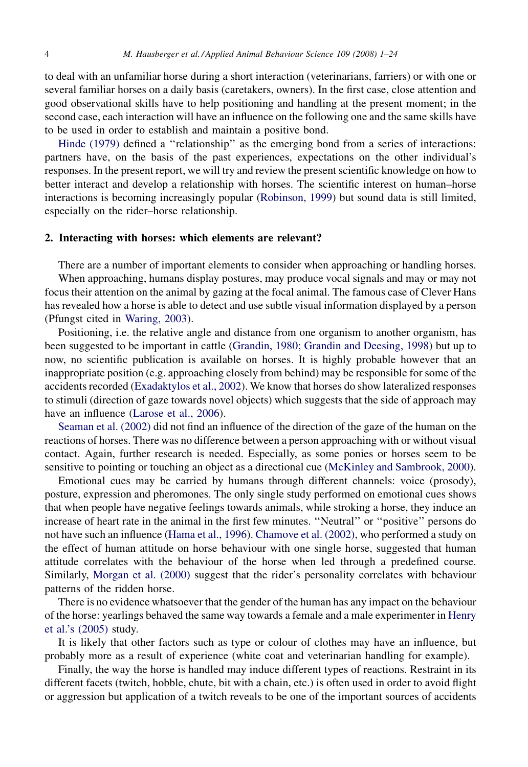to deal with an unfamiliar horse during a short interaction (veterinarians, farriers) or with one or several familiar horses on a daily basis (caretakers, owners). In the first case, close attention and good observational skills have to help positioning and handling at the present moment; in the second case, each interaction will have an influence on the following one and the same skills have to be used in order to establish and maintain a positive bond.

[Hinde \(1979\)](#page-19-0) defined a ''relationship'' as the emerging bond from a series of interactions: partners have, on the basis of the past experiences, expectations on the other individual's responses. In the present report, we will try and review the present scientific knowledge on how to better interact and develop a relationship with horses. The scientific interest on human–horse interactions is becoming increasingly popular ([Robinson, 1999\)](#page-22-0) but sound data is still limited, especially on the rider–horse relationship.

# 2. Interacting with horses: which elements are relevant?

There are a number of important elements to consider when approaching or handling horses. When approaching, humans display postures, may produce vocal signals and may or may not focus their attention on the animal by gazing at the focal animal. The famous case of Clever Hans has revealed how a horse is able to detect and use subtle visual information displayed by a person (Pfungst cited in [Waring, 2003\)](#page-22-0).

Positioning, i.e. the relative angle and distance from one organism to another organism, has been suggested to be important in cattle [\(Grandin, 1980; Grandin and Deesing, 1998](#page-18-0)) but up to now, no scientific publication is available on horses. It is highly probable however that an inappropriate position (e.g. approaching closely from behind) may be responsible for some of the accidents recorded [\(Exadaktylos et al., 2002\)](#page-18-0). We know that horses do show lateralized responses to stimuli (direction of gaze towards novel objects) which suggests that the side of approach may have an influence ([Larose et al., 2006\)](#page-20-0).

[Seaman et al. \(2002\)](#page-22-0) did not find an influence of the direction of the gaze of the human on the reactions of horses. There was no difference between a person approaching with or without visual contact. Again, further research is needed. Especially, as some ponies or horses seem to be sensitive to pointing or touching an object as a directional cue [\(McKinley and Sambrook, 2000](#page-21-0)).

Emotional cues may be carried by humans through different channels: voice (prosody), posture, expression and pheromones. The only single study performed on emotional cues shows that when people have negative feelings towards animals, while stroking a horse, they induce an increase of heart rate in the animal in the first few minutes. ''Neutral'' or ''positive'' persons do not have such an influence [\(Hama et al., 1996\)](#page-18-0). [Chamove et al. \(2002\),](#page-18-0) who performed a study on the effect of human attitude on horse behaviour with one single horse, suggested that human attitude correlates with the behaviour of the horse when led through a predefined course. Similarly, [Morgan et al. \(2000\)](#page-21-0) suggest that the rider's personality correlates with behaviour patterns of the ridden horse.

There is no evidence whatsoever that the gender of the human has any impact on the behaviour of the horse: yearlings behaved the same way towards a female and a male experimenter in [Henry](#page-19-0) [et al.'s \(2005\)](#page-19-0) study.

It is likely that other factors such as type or colour of clothes may have an influence, but probably more as a result of experience (white coat and veterinarian handling for example).

Finally, the way the horse is handled may induce different types of reactions. Restraint in its different facets (twitch, hobble, chute, bit with a chain, etc.) is often used in order to avoid flight or aggression but application of a twitch reveals to be one of the important sources of accidents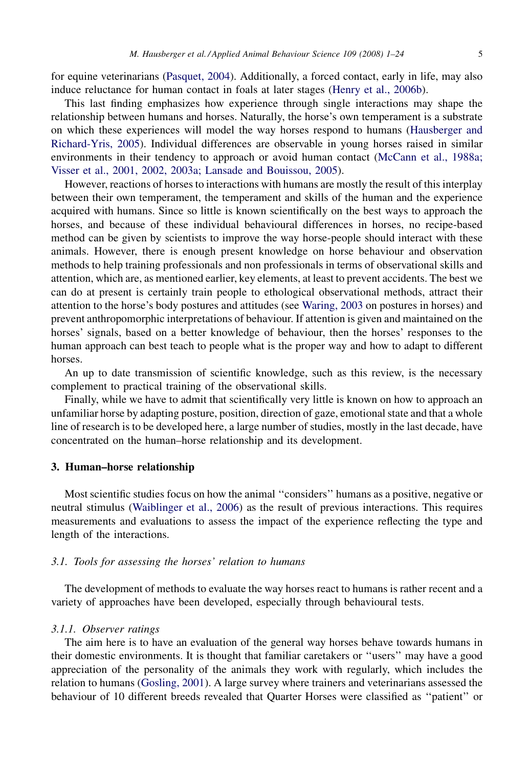for equine veterinarians ([Pasquet, 2004\)](#page-21-0). Additionally, a forced contact, early in life, may also induce reluctance for human contact in foals at later stages ([Henry et al., 2006b](#page-19-0)).

This last finding emphasizes how experience through single interactions may shape the relationship between humans and horses. Naturally, the horse's own temperament is a substrate on which these experiences will model the way horses respond to humans ([Hausberger and](#page-19-0) [Richard-Yris, 2005\)](#page-19-0). Individual differences are observable in young horses raised in similar environments in their tendency to approach or avoid human contact [\(McCann et al., 1988a;](#page-20-0) [Visser et al., 2001, 2002, 2003a; Lansade and Bouissou, 2005](#page-20-0)).

However, reactions of horses to interactions with humans are mostly the result of this interplay between their own temperament, the temperament and skills of the human and the experience acquired with humans. Since so little is known scientifically on the best ways to approach the horses, and because of these individual behavioural differences in horses, no recipe-based method can be given by scientists to improve the way horse-people should interact with these animals. However, there is enough present knowledge on horse behaviour and observation methods to help training professionals and non professionals in terms of observational skills and attention, which are, as mentioned earlier, key elements, at least to prevent accidents. The best we can do at present is certainly train people to ethological observational methods, attract their attention to the horse's body postures and attitudes (see [Waring, 2003](#page-22-0) on postures in horses) and prevent anthropomorphic interpretations of behaviour. If attention is given and maintained on the horses' signals, based on a better knowledge of behaviour, then the horses' responses to the human approach can best teach to people what is the proper way and how to adapt to different horses.

An up to date transmission of scientific knowledge, such as this review, is the necessary complement to practical training of the observational skills.

Finally, while we have to admit that scientifically very little is known on how to approach an unfamiliar horse by adapting posture, position, direction of gaze, emotional state and that a whole line of research is to be developed here, a large number of studies, mostly in the last decade, have concentrated on the human–horse relationship and its development.

#### 3. Human–horse relationship

Most scientific studies focus on how the animal ''considers'' humans as a positive, negative or neutral stimulus [\(Waiblinger et al., 2006\)](#page-22-0) as the result of previous interactions. This requires measurements and evaluations to assess the impact of the experience reflecting the type and length of the interactions.

#### 3.1. Tools for assessing the horses' relation to humans

The development of methods to evaluate the way horses react to humans is rather recent and a variety of approaches have been developed, especially through behavioural tests.

#### 3.1.1. Observer ratings

The aim here is to have an evaluation of the general way horses behave towards humans in their domestic environments. It is thought that familiar caretakers or ''users'' may have a good appreciation of the personality of the animals they work with regularly, which includes the relation to humans [\(Gosling, 2001](#page-18-0)). A large survey where trainers and veterinarians assessed the behaviour of 10 different breeds revealed that Quarter Horses were classified as ''patient'' or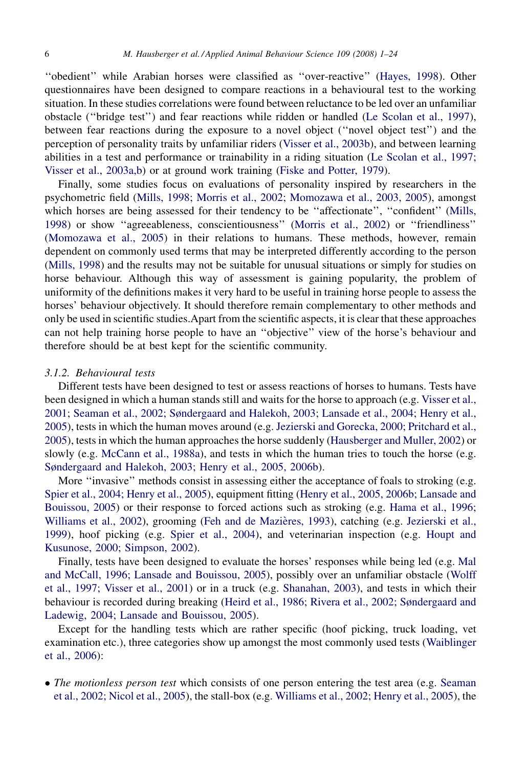''obedient'' while Arabian horses were classified as ''over-reactive'' ([Hayes, 1998\)](#page-19-0). Other questionnaires have been designed to compare reactions in a behavioural test to the working situation. In these studies correlations were found between reluctance to be led over an unfamiliar obstacle (''bridge test'') and fear reactions while ridden or handled [\(Le Scolan et al., 1997](#page-20-0)), between fear reactions during the exposure to a novel object (''novel object test'') and the perception of personality traits by unfamiliar riders ([Visser et al., 2003b](#page-22-0)), and between learning abilities in a test and performance or trainability in a riding situation ([Le Scolan et al., 1997;](#page-20-0) [Visser et al., 2003a,b](#page-20-0)) or at ground work training [\(Fiske and Potter, 1979](#page-18-0)).

Finally, some studies focus on evaluations of personality inspired by researchers in the psychometric field [\(Mills, 1998; Morris et al., 2002; Momozawa et al., 2003, 2005](#page-21-0)), amongst which horses are being assessed for their tendency to be "affectionate", "confident" ([Mills,](#page-21-0) [1998\)](#page-21-0) or show ''agreeableness, conscientiousness'' [\(Morris et al., 2002](#page-21-0)) or ''friendliness'' [\(Momozawa et al., 2005](#page-21-0)) in their relations to humans. These methods, however, remain dependent on commonly used terms that may be interpreted differently according to the person [\(Mills, 1998](#page-21-0)) and the results may not be suitable for unusual situations or simply for studies on horse behaviour. Although this way of assessment is gaining popularity, the problem of uniformity of the definitions makes it very hard to be useful in training horse people to assess the horses' behaviour objectively. It should therefore remain complementary to other methods and only be used in scientific studies.Apart from the scientific aspects, it is clear that these approaches can not help training horse people to have an ''objective'' view of the horse's behaviour and therefore should be at best kept for the scientific community.

## 3.1.2. Behavioural tests

Different tests have been designed to test or assess reactions of horses to humans. Tests have been designed in which a human stands still and waits for the horse to approach (e.g. [Visser et al.,](#page-22-0) [2001; Seaman et al., 2002; Søndergaard and Halekoh, 2003; Lansade et al., 2004; Henry et al.,](#page-22-0) [2005\)](#page-22-0), tests in which the human moves around (e.g. [Jezierski and Gorecka, 2000; Pritchard et al.,](#page-20-0) [2005\)](#page-20-0), tests in which the human approaches the horse suddenly ([Hausberger and Muller, 2002\)](#page-19-0) or slowly (e.g. [McCann et al., 1988a](#page-20-0)), and tests in which the human tries to touch the horse (e.g. [Søndergaard and Halekoh, 2003; Henry et al., 2005, 2006b](#page-22-0)).

More "invasive" methods consist in assessing either the acceptance of foals to stroking (e.g. [Spier et al., 2004; Henry et al., 2005\)](#page-22-0), equipment fitting ([Henry et al., 2005, 2006b; Lansade and](#page-19-0) [Bouissou, 2005\)](#page-19-0) or their response to forced actions such as stroking (e.g. [Hama et al., 1996;](#page-18-0) [Williams et al., 2002](#page-18-0)), grooming (Feh and de Mazières, 1993), catching (e.g. [Jezierski et al.,](#page-20-0) [1999\)](#page-20-0), hoof picking (e.g. [Spier et al., 2004](#page-22-0)), and veterinarian inspection (e.g. [Houpt and](#page-19-0) [Kusunose, 2000; Simpson, 2002](#page-19-0)).

Finally, tests have been designed to evaluate the horses' responses while being led (e.g. [Mal](#page-20-0) [and McCall, 1996; Lansade and Bouissou, 2005](#page-20-0)), possibly over an unfamiliar obstacle [\(Wolff](#page-23-0) [et al., 1997; Visser et al., 2001\)](#page-23-0) or in a truck (e.g. [Shanahan, 2003\)](#page-22-0), and tests in which their behaviour is recorded during breaking [\(Heird et al., 1986; Rivera et al., 2002; Søndergaard and](#page-19-0) [Ladewig, 2004; Lansade and Bouissou, 2005\)](#page-19-0).

Except for the handling tests which are rather specific (hoof picking, truck loading, vet examination etc.), three categories show up amongst the most commonly used tests ([Waiblinger](#page-22-0) [et al., 2006\)](#page-22-0):

• The motionless person test which consists of one person entering the test area (e.g. [Seaman](#page-22-0) [et al., 2002; Nicol et al., 2005\)](#page-22-0), the stall-box (e.g. [Williams et al., 2002; Henry et al., 2005](#page-23-0)), the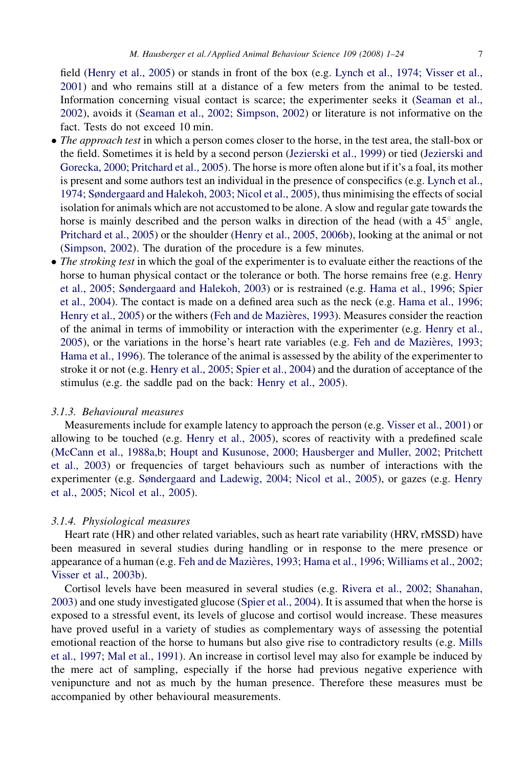field ([Henry et al., 2005\)](#page-19-0) or stands in front of the box (e.g. [Lynch et al., 1974; Visser et al.,](#page-20-0) [2001](#page-20-0)) and who remains still at a distance of a few meters from the animal to be tested. Information concerning visual contact is scarce; the experimenter seeks it ([Seaman et al.,](#page-22-0) [2002](#page-22-0)), avoids it [\(Seaman et al., 2002; Simpson, 2002](#page-22-0)) or literature is not informative on the fact. Tests do not exceed 10 min.

- The approach test in which a person comes closer to the horse, in the test area, the stall-box or the field. Sometimes it is held by a second person ([Jezierski et al., 1999\)](#page-20-0) or tied ([Jezierski and](#page-20-0) [Gorecka, 2000; Pritchard et al., 2005\)](#page-20-0). The horse is more often alone but if it's a foal, its mother is present and some authors test an individual in the presence of conspecifics (e.g. [Lynch et al.,](#page-20-0) [1974; Søndergaard and Halekoh, 2003; Nicol et al., 2005\)](#page-20-0), thus minimising the effects of social isolation for animals which are not accustomed to be alone. A slow and regular gate towards the horse is mainly described and the person walks in direction of the head (with a  $45^{\circ}$  angle, [Pritchard et al., 2005\)](#page-22-0) or the shoulder ([Henry et al., 2005, 2006b](#page-19-0)), looking at the animal or not ([Simpson, 2002\)](#page-22-0). The duration of the procedure is a few minutes.
- The stroking test in which the goal of the experimenter is to evaluate either the reactions of the horse to human physical contact or the tolerance or both. The horse remains free (e.g. [Henry](#page-19-0) [et al., 2005; Søndergaard and Halekoh, 2003](#page-19-0)) or is restrained (e.g. [Hama et al., 1996; Spier](#page-18-0) [et al., 2004\)](#page-18-0). The contact is made on a defined area such as the neck (e.g. [Hama et al., 1996;](#page-18-0) [Henry et al., 2005\)](#page-18-0) or the withers (Feh and de Mazières, 1993). Measures consider the reaction of the animal in terms of immobility or interaction with the experimenter (e.g. [Henry et al.,](#page-19-0)  $2005$ ), or the variations in the horse's heart rate variables (e.g. Feh and de Mazieres, 1993; [Hama et al., 1996](#page-18-0)). The tolerance of the animal is assessed by the ability of the experimenter to stroke it or not (e.g. [Henry et al., 2005; Spier et al., 2004](#page-19-0)) and the duration of acceptance of the stimulus (e.g. the saddle pad on the back: [Henry et al., 2005\)](#page-19-0).

## 3.1.3. Behavioural measures

Measurements include for example latency to approach the person (e.g. [Visser et al., 2001](#page-22-0)) or allowing to be touched (e.g. [Henry et al., 2005\)](#page-19-0), scores of reactivity with a predefined scale ([McCann et al., 1988a,b; Houpt and Kusunose, 2000; Hausberger and Muller, 2002; Pritchett](#page-20-0) [et al., 2003\)](#page-20-0) or frequencies of target behaviours such as number of interactions with the experimenter (e.g. [Søndergaard and Ladewig, 2004; Nicol et al., 2005\)](#page-22-0), or gazes (e.g. [Henry](#page-19-0) [et al., 2005; Nicol et al., 2005](#page-19-0)).

#### 3.1.4. Physiological measures

Heart rate (HR) and other related variables, such as heart rate variability (HRV, rMSSD) have been measured in several studies during handling or in response to the mere presence or appearance of a human (e.g. Feh and de Mazières, 1993; Hama et al., 1996; Williams et al., 2002; [Visser et al., 2003b\)](#page-18-0).

Cortisol levels have been measured in several studies (e.g. [Rivera et al., 2002; Shanahan,](#page-22-0) [2003](#page-22-0)) and one study investigated glucose ([Spier et al., 2004\)](#page-22-0). It is assumed that when the horse is exposed to a stressful event, its levels of glucose and cortisol would increase. These measures have proved useful in a variety of studies as complementary ways of assessing the potential emotional reaction of the horse to humans but also give rise to contradictory results (e.g. [Mills](#page-21-0) [et al., 1997; Mal et al., 1991\)](#page-21-0). An increase in cortisol level may also for example be induced by the mere act of sampling, especially if the horse had previous negative experience with venipuncture and not as much by the human presence. Therefore these measures must be accompanied by other behavioural measurements.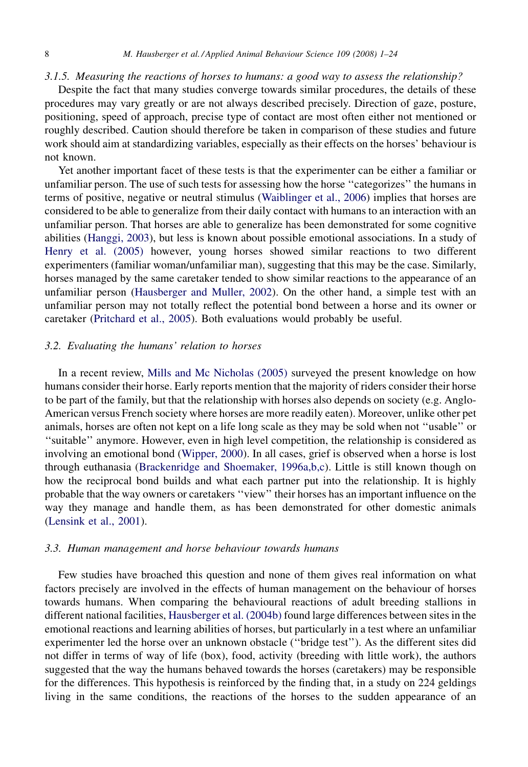# 3.1.5. Measuring the reactions of horses to humans: a good way to assess the relationship?

Despite the fact that many studies converge towards similar procedures, the details of these procedures may vary greatly or are not always described precisely. Direction of gaze, posture, positioning, speed of approach, precise type of contact are most often either not mentioned or roughly described. Caution should therefore be taken in comparison of these studies and future work should aim at standardizing variables, especially as their effects on the horses' behaviour is not known.

Yet another important facet of these tests is that the experimenter can be either a familiar or unfamiliar person. The use of such tests for assessing how the horse ''categorizes'' the humans in terms of positive, negative or neutral stimulus ([Waiblinger et al., 2006\)](#page-22-0) implies that horses are considered to be able to generalize from their daily contact with humans to an interaction with an unfamiliar person. That horses are able to generalize has been demonstrated for some cognitive abilities ([Hanggi, 2003](#page-18-0)), but less is known about possible emotional associations. In a study of [Henry et al. \(2005\)](#page-19-0) however, young horses showed similar reactions to two different experimenters (familiar woman/unfamiliar man), suggesting that this may be the case. Similarly, horses managed by the same caretaker tended to show similar reactions to the appearance of an unfamiliar person [\(Hausberger and Muller, 2002](#page-19-0)). On the other hand, a simple test with an unfamiliar person may not totally reflect the potential bond between a horse and its owner or caretaker [\(Pritchard et al., 2005](#page-22-0)). Both evaluations would probably be useful.

# 3.2. Evaluating the humans' relation to horses

In a recent review, [Mills and Mc Nicholas \(2005\)](#page-21-0) surveyed the present knowledge on how humans consider their horse. Early reports mention that the majority of riders consider their horse to be part of the family, but that the relationship with horses also depends on society (e.g. Anglo-American versus French society where horses are more readily eaten). Moreover, unlike other pet animals, horses are often not kept on a life long scale as they may be sold when not ''usable'' or ''suitable'' anymore. However, even in high level competition, the relationship is considered as involving an emotional bond ([Wipper, 2000](#page-23-0)). In all cases, grief is observed when a horse is lost through euthanasia [\(Brackenridge and Shoemaker, 1996a,b,c\)](#page-18-0). Little is still known though on how the reciprocal bond builds and what each partner put into the relationship. It is highly probable that the way owners or caretakers ''view'' their horses has an important influence on the way they manage and handle them, as has been demonstrated for other domestic animals [\(Lensink et al., 2001\)](#page-20-0).

## 3.3. Human management and horse behaviour towards humans

Few studies have broached this question and none of them gives real information on what factors precisely are involved in the effects of human management on the behaviour of horses towards humans. When comparing the behavioural reactions of adult breeding stallions in different national facilities, [Hausberger et al. \(2004b\)](#page-19-0) found large differences between sites in the emotional reactions and learning abilities of horses, but particularly in a test where an unfamiliar experimenter led the horse over an unknown obstacle (''bridge test''). As the different sites did not differ in terms of way of life (box), food, activity (breeding with little work), the authors suggested that the way the humans behaved towards the horses (caretakers) may be responsible for the differences. This hypothesis is reinforced by the finding that, in a study on 224 geldings living in the same conditions, the reactions of the horses to the sudden appearance of an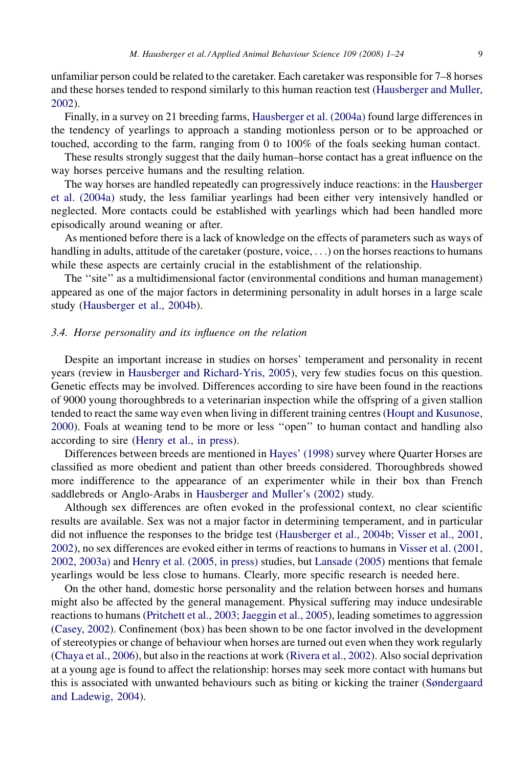unfamiliar person could be related to the caretaker. Each caretaker was responsible for 7–8 horses and these horses tended to respond similarly to this human reaction test ([Hausberger and Muller,](#page-19-0) [2002](#page-19-0)).

Finally, in a survey on 21 breeding farms, [Hausberger et al. \(2004a\)](#page-19-0) found large differences in the tendency of yearlings to approach a standing motionless person or to be approached or touched, according to the farm, ranging from 0 to 100% of the foals seeking human contact.

These results strongly suggest that the daily human–horse contact has a great influence on the way horses perceive humans and the resulting relation.

The way horses are handled repeatedly can progressively induce reactions: in the [Hausberger](#page-19-0) [et al. \(2004a\)](#page-19-0) study, the less familiar yearlings had been either very intensively handled or neglected. More contacts could be established with yearlings which had been handled more episodically around weaning or after.

As mentioned before there is a lack of knowledge on the effects of parameters such as ways of handling in adults, attitude of the caretaker (posture, voice, ...) on the horses reactions to humans while these aspects are certainly crucial in the establishment of the relationship.

The ''site'' as a multidimensional factor (environmental conditions and human management) appeared as one of the major factors in determining personality in adult horses in a large scale study ([Hausberger et al., 2004b](#page-19-0)).

# 3.4. Horse personality and its influence on the relation

Despite an important increase in studies on horses' temperament and personality in recent years (review in [Hausberger and Richard-Yris, 2005\)](#page-19-0), very few studies focus on this question. Genetic effects may be involved. Differences according to sire have been found in the reactions of 9000 young thoroughbreds to a veterinarian inspection while the offspring of a given stallion tended to react the same way even when living in different training centres ([Houpt and Kusunose,](#page-19-0) [2000](#page-19-0)). Foals at weaning tend to be more or less ''open'' to human contact and handling also according to sire [\(Henry et al., in press](#page-19-0)).

Differences between breeds are mentioned in [Hayes' \(1998\)](#page-19-0) survey where Quarter Horses are classified as more obedient and patient than other breeds considered. Thoroughbreds showed more indifference to the appearance of an experimenter while in their box than French saddlebreds or Anglo-Arabs in [Hausberger and Muller's \(2002\)](#page-19-0) study.

Although sex differences are often evoked in the professional context, no clear scientific results are available. Sex was not a major factor in determining temperament, and in particular did not influence the responses to the bridge test ([Hausberger et al., 2004b; Visser et al., 2001,](#page-19-0) [2002](#page-19-0)), no sex differences are evoked either in terms of reactions to humans in [Visser et al. \(2001,](#page-22-0) [2002, 2003a\)](#page-22-0) and [Henry et al. \(2005, in press\)](#page-19-0) studies, but [Lansade \(2005\)](#page-20-0) mentions that female yearlings would be less close to humans. Clearly, more specific research is needed here.

On the other hand, domestic horse personality and the relation between horses and humans might also be affected by the general management. Physical suffering may induce undesirable reactions to humans ([Pritchett et al., 2003; Jaeggin et al., 2005\)](#page-22-0), leading sometimes to aggression ([Casey, 2002](#page-18-0)). Confinement (box) has been shown to be one factor involved in the development of stereotypies or change of behaviour when horses are turned out even when they work regularly ([Chaya et al., 2006\)](#page-18-0), but also in the reactions at work [\(Rivera et al., 2002\)](#page-22-0). Also social deprivation at a young age is found to affect the relationship: horses may seek more contact with humans but this is associated with unwanted behaviours such as biting or kicking the trainer ([Søndergaard](#page-22-0) [and Ladewig, 2004\)](#page-22-0).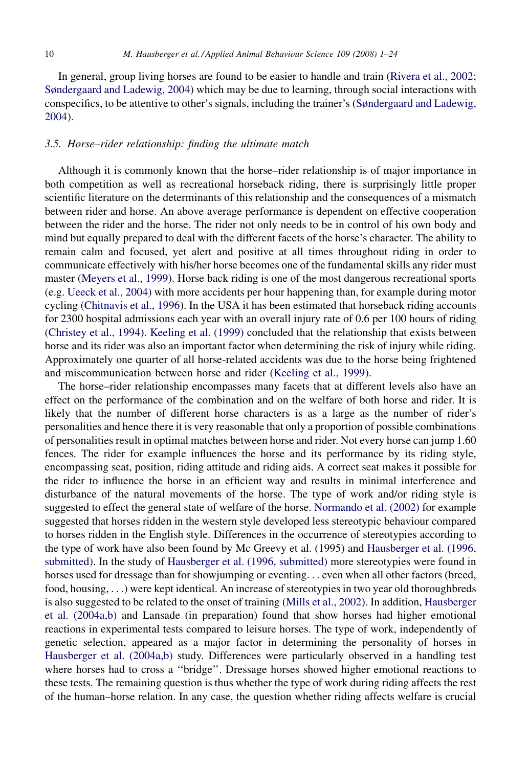In general, group living horses are found to be easier to handle and train ([Rivera et al., 2002;](#page-22-0) [Søndergaard and Ladewig, 2004\)](#page-22-0) which may be due to learning, through social interactions with conspecifics, to be attentive to other's signals, including the trainer's ([Søndergaard and Ladewig,](#page-22-0) [2004\)](#page-22-0).

# 3.5. Horse–rider relationship: finding the ultimate match

Although it is commonly known that the horse–rider relationship is of major importance in both competition as well as recreational horseback riding, there is surprisingly little proper scientific literature on the determinants of this relationship and the consequences of a mismatch between rider and horse. An above average performance is dependent on effective cooperation between the rider and the horse. The rider not only needs to be in control of his own body and mind but equally prepared to deal with the different facets of the horse's character. The ability to remain calm and focused, yet alert and positive at all times throughout riding in order to communicate effectively with his/her horse becomes one of the fundamental skills any rider must master [\(Meyers et al., 1999](#page-21-0)). Horse back riding is one of the most dangerous recreational sports (e.g. [Ueeck et al., 2004](#page-22-0)) with more accidents per hour happening than, for example during motor cycling ([Chitnavis et al., 1996\)](#page-18-0). In the USA it has been estimated that horseback riding accounts for 2300 hospital admissions each year with an overall injury rate of 0.6 per 100 hours of riding [\(Christey et al., 1994](#page-18-0)). [Keeling et al. \(1999\)](#page-20-0) concluded that the relationship that exists between horse and its rider was also an important factor when determining the risk of injury while riding. Approximately one quarter of all horse-related accidents was due to the horse being frightened and miscommunication between horse and rider ([Keeling et al., 1999\)](#page-20-0).

The horse–rider relationship encompasses many facets that at different levels also have an effect on the performance of the combination and on the welfare of both horse and rider. It is likely that the number of different horse characters is as a large as the number of rider's personalities and hence there it is very reasonable that only a proportion of possible combinations of personalities result in optimal matches between horse and rider. Not every horse can jump 1.60 fences. The rider for example influences the horse and its performance by its riding style, encompassing seat, position, riding attitude and riding aids. A correct seat makes it possible for the rider to influence the horse in an efficient way and results in minimal interference and disturbance of the natural movements of the horse. The type of work and/or riding style is suggested to effect the general state of welfare of the horse. [Normando et al. \(2002\)](#page-21-0) for example suggested that horses ridden in the western style developed less stereotypic behaviour compared to horses ridden in the English style. Differences in the occurrence of stereotypies according to the type of work have also been found by Mc Greevy et al. (1995) and [Hausberger et al. \(1996,](#page-19-0) [submitted\).](#page-19-0) In the study of [Hausberger et al. \(1996, submitted\)](#page-19-0) more stereotypies were found in horses used for dressage than for showjumping or eventing... even when all other factors (breed, food, housing, ...) were kept identical. An increase of stereotypies in two year old thoroughbreds is also suggested to be related to the onset of training ([Mills et al., 2002](#page-21-0)). In addition, [Hausberger](#page-19-0) [et al. \(2004a,b\)](#page-19-0) and Lansade (in preparation) found that show horses had higher emotional reactions in experimental tests compared to leisure horses. The type of work, independently of genetic selection, appeared as a major factor in determining the personality of horses in [Hausberger et al. \(2004a,b\)](#page-19-0) study. Differences were particularly observed in a handling test where horses had to cross a ''bridge''. Dressage horses showed higher emotional reactions to these tests. The remaining question is thus whether the type of work during riding affects the rest of the human–horse relation. In any case, the question whether riding affects welfare is crucial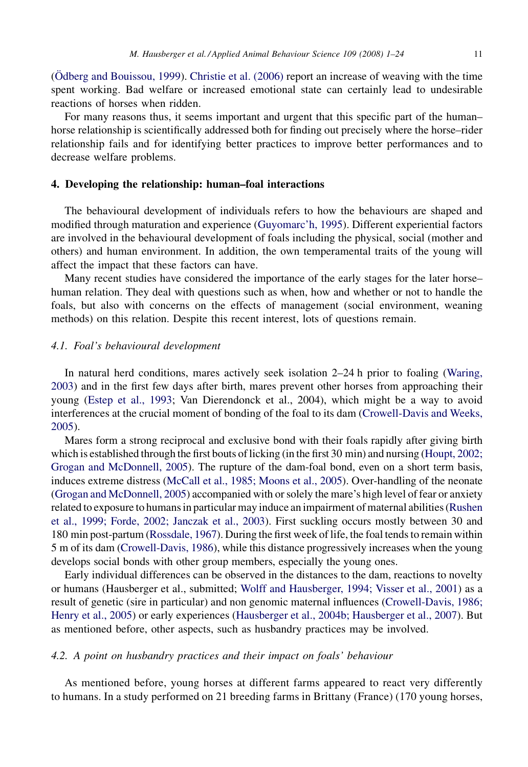(O[dberg and Bouissou, 1999](#page-21-0)). [Christie et al. \(2006\)](#page-18-0) report an increase of weaving with the time spent working. Bad welfare or increased emotional state can certainly lead to undesirable reactions of horses when ridden.

For many reasons thus, it seems important and urgent that this specific part of the human– horse relationship is scientifically addressed both for finding out precisely where the horse–rider relationship fails and for identifying better practices to improve better performances and to decrease welfare problems.

# 4. Developing the relationship: human–foal interactions

The behavioural development of individuals refers to how the behaviours are shaped and modified through maturation and experience ([Guyomarc'h, 1995\)](#page-18-0). Different experiential factors are involved in the behavioural development of foals including the physical, social (mother and others) and human environment. In addition, the own temperamental traits of the young will affect the impact that these factors can have.

Many recent studies have considered the importance of the early stages for the later horse– human relation. They deal with questions such as when, how and whether or not to handle the foals, but also with concerns on the effects of management (social environment, weaning methods) on this relation. Despite this recent interest, lots of questions remain.

# 4.1. Foal's behavioural development

In natural herd conditions, mares actively seek isolation 2–24 h prior to foaling [\(Waring,](#page-22-0) [2003](#page-22-0)) and in the first few days after birth, mares prevent other horses from approaching their young ([Estep et al., 1993;](#page-18-0) Van Dierendonck et al., 2004), which might be a way to avoid interferences at the crucial moment of bonding of the foal to its dam [\(Crowell-Davis and Weeks,](#page-18-0) [2005](#page-18-0)).

Mares form a strong reciprocal and exclusive bond with their foals rapidly after giving birth which is established through the first bouts of licking (in the first 30 min) and nursing ([Houpt, 2002;](#page-19-0) [Grogan and McDonnell, 2005\)](#page-19-0). The rupture of the dam-foal bond, even on a short term basis, induces extreme distress ([McCall et al., 1985; Moons et al., 2005](#page-20-0)). Over-handling of the neonate ([Grogan and McDonnell, 2005](#page-18-0)) accompanied with or solely the mare's high level of fear or anxiety related to exposure to humans in particular may induce an impairment of maternal abilities [\(Rushen](#page-22-0) [et al., 1999; Forde, 2002; Janczak et al., 2003\)](#page-22-0). First suckling occurs mostly between 30 and 180 min post-partum ([Rossdale, 1967](#page-22-0)). During the first week of life, the foal tends to remain within 5 m of its dam [\(Crowell-Davis, 1986](#page-18-0)), while this distance progressively increases when the young develops social bonds with other group members, especially the young ones.

Early individual differences can be observed in the distances to the dam, reactions to novelty or humans (Hausberger et al., submitted; [Wolff and Hausberger, 1994; Visser et al., 2001](#page-23-0)) as a result of genetic (sire in particular) and non genomic maternal influences ([Crowell-Davis, 1986;](#page-18-0) [Henry et al., 2005](#page-18-0)) or early experiences [\(Hausberger et al., 2004b; Hausberger et al., 2007](#page-19-0)). But as mentioned before, other aspects, such as husbandry practices may be involved.

## 4.2. A point on husbandry practices and their impact on foals' behaviour

As mentioned before, young horses at different farms appeared to react very differently to humans. In a study performed on 21 breeding farms in Brittany (France) (170 young horses,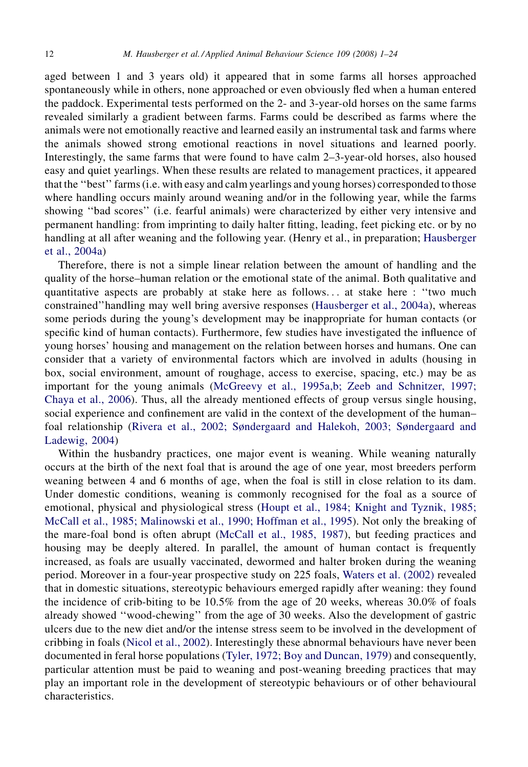aged between 1 and 3 years old) it appeared that in some farms all horses approached spontaneously while in others, none approached or even obviously fled when a human entered the paddock. Experimental tests performed on the 2- and 3-year-old horses on the same farms revealed similarly a gradient between farms. Farms could be described as farms where the animals were not emotionally reactive and learned easily an instrumental task and farms where the animals showed strong emotional reactions in novel situations and learned poorly. Interestingly, the same farms that were found to have calm 2–3-year-old horses, also housed easy and quiet yearlings. When these results are related to management practices, it appeared that the ''best'' farms (i.e. with easy and calm yearlings and young horses) corresponded to those where handling occurs mainly around weaning and/or in the following year, while the farms showing ''bad scores'' (i.e. fearful animals) were characterized by either very intensive and permanent handling: from imprinting to daily halter fitting, leading, feet picking etc. or by no handling at all after weaning and the following year. (Henry et al., in preparation; [Hausberger](#page-19-0) [et al., 2004a\)](#page-19-0)

Therefore, there is not a simple linear relation between the amount of handling and the quality of the horse–human relation or the emotional state of the animal. Both qualitative and quantitative aspects are probably at stake here as follows... at stake here : ''two much constrained''handling may well bring aversive responses [\(Hausberger et al., 2004a](#page-19-0)), whereas some periods during the young's development may be inappropriate for human contacts (or specific kind of human contacts). Furthermore, few studies have investigated the influence of young horses' housing and management on the relation between horses and humans. One can consider that a variety of environmental factors which are involved in adults (housing in box, social environment, amount of roughage, access to exercise, spacing, etc.) may be as important for the young animals [\(McGreevy et al., 1995a,b; Zeeb and Schnitzer, 1997;](#page-21-0) [Chaya et al., 2006](#page-21-0)). Thus, all the already mentioned effects of group versus single housing, social experience and confinement are valid in the context of the development of the human– foal relationship ([Rivera et al., 2002; Søndergaard and Halekoh, 2003; Søndergaard and](#page-22-0) [Ladewig, 2004\)](#page-22-0)

Within the husbandry practices, one major event is weaning. While weaning naturally occurs at the birth of the next foal that is around the age of one year, most breeders perform weaning between 4 and 6 months of age, when the foal is still in close relation to its dam. Under domestic conditions, weaning is commonly recognised for the foal as a source of emotional, physical and physiological stress [\(Houpt et al., 1984; Knight and Tyznik, 1985;](#page-19-0) [McCall et al., 1985; Malinowski et al., 1990; Hoffman et al., 1995](#page-19-0)). Not only the breaking of the mare-foal bond is often abrupt ([McCall et al., 1985, 1987\)](#page-20-0), but feeding practices and housing may be deeply altered. In parallel, the amount of human contact is frequently increased, as foals are usually vaccinated, dewormed and halter broken during the weaning period. Moreover in a four-year prospective study on 225 foals, [Waters et al. \(2002\)](#page-23-0) revealed that in domestic situations, stereotypic behaviours emerged rapidly after weaning: they found the incidence of crib-biting to be 10.5% from the age of 20 weeks, whereas 30.0% of foals already showed ''wood-chewing'' from the age of 30 weeks. Also the development of gastric ulcers due to the new diet and/or the intense stress seem to be involved in the development of cribbing in foals [\(Nicol et al., 2002\)](#page-21-0). Interestingly these abnormal behaviours have never been documented in feral horse populations [\(Tyler, 1972; Boy and Duncan, 1979](#page-22-0)) and consequently, particular attention must be paid to weaning and post-weaning breeding practices that may play an important role in the development of stereotypic behaviours or of other behavioural characteristics.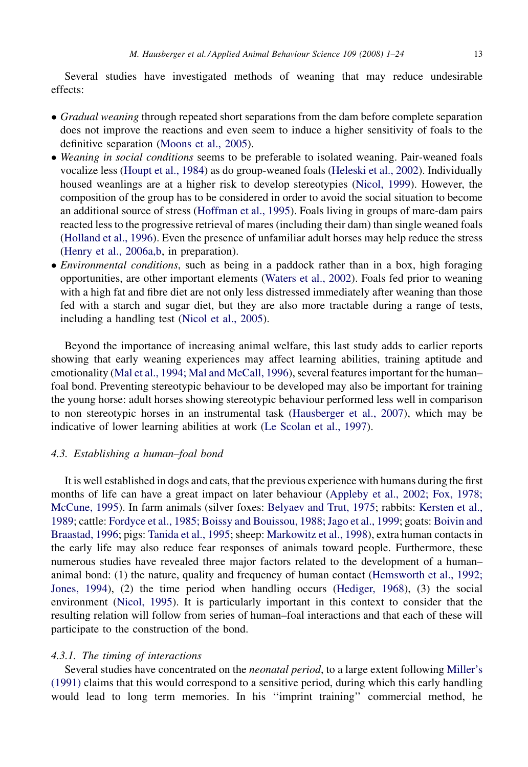Several studies have investigated methods of weaning that may reduce undesirable effects:

- Gradual weaning through repeated short separations from the dam before complete separation does not improve the reactions and even seem to induce a higher sensitivity of foals to the definitive separation [\(Moons et al., 2005](#page-21-0)).
- Weaning in social conditions seems to be preferable to isolated weaning. Pair-weaned foals vocalize less ([Houpt et al., 1984](#page-19-0)) as do group-weaned foals [\(Heleski et al., 2002](#page-19-0)). Individually housed weanlings are at a higher risk to develop stereotypies [\(Nicol, 1999\)](#page-21-0). However, the composition of the group has to be considered in order to avoid the social situation to become an additional source of stress ([Hoffman et al., 1995](#page-19-0)). Foals living in groups of mare-dam pairs reacted less to the progressive retrieval of mares (including their dam) than single weaned foals ([Holland et al., 1996](#page-19-0)). Even the presence of unfamiliar adult horses may help reduce the stress ([Henry et al., 2006a,b](#page-19-0), in preparation).
- *Environmental conditions*, such as being in a paddock rather than in a box, high foraging opportunities, are other important elements [\(Waters et al., 2002](#page-23-0)). Foals fed prior to weaning with a high fat and fibre diet are not only less distressed immediately after weaning than those fed with a starch and sugar diet, but they are also more tractable during a range of tests, including a handling test [\(Nicol et al., 2005](#page-21-0)).

Beyond the importance of increasing animal welfare, this last study adds to earlier reports showing that early weaning experiences may affect learning abilities, training aptitude and emotionality [\(Mal et al., 1994; Mal and McCall, 1996\)](#page-20-0), several features important for the human– foal bond. Preventing stereotypic behaviour to be developed may also be important for training the young horse: adult horses showing stereotypic behaviour performed less well in comparison to non stereotypic horses in an instrumental task [\(Hausberger et al., 2007\)](#page-19-0), which may be indicative of lower learning abilities at work ([Le Scolan et al., 1997](#page-20-0)).

# 4.3. Establishing a human–foal bond

It is well established in dogs and cats, that the previous experience with humans during the first months of life can have a great impact on later behaviour [\(Appleby et al., 2002; Fox, 1978;](#page-17-0) [McCune, 1995](#page-17-0)). In farm animals (silver foxes: [Belyaev and Trut, 1975;](#page-17-0) rabbits: [Kersten et al.,](#page-20-0) [1989](#page-20-0); cattle: [Fordyce et al., 1985; Boissy and Bouissou, 1988; Jago et al., 1999](#page-18-0); goats: [Boivin and](#page-17-0) [Braastad, 1996;](#page-17-0) pigs: [Tanida et al., 1995](#page-22-0); sheep: [Markowitz et al., 1998\)](#page-20-0), extra human contacts in the early life may also reduce fear responses of animals toward people. Furthermore, these numerous studies have revealed three major factors related to the development of a human– animal bond: (1) the nature, quality and frequency of human contact [\(Hemsworth et al., 1992;](#page-19-0) [Jones, 1994](#page-19-0)), (2) the time period when handling occurs [\(Hediger, 1968](#page-19-0)), (3) the social environment ([Nicol, 1995\)](#page-21-0). It is particularly important in this context to consider that the resulting relation will follow from series of human–foal interactions and that each of these will participate to the construction of the bond.

# 4.3.1. The timing of interactions

Several studies have concentrated on the *neonatal period*, to a large extent following [Miller's](#page-21-0) [\(1991\)](#page-21-0) claims that this would correspond to a sensitive period, during which this early handling would lead to long term memories. In his ''imprint training'' commercial method, he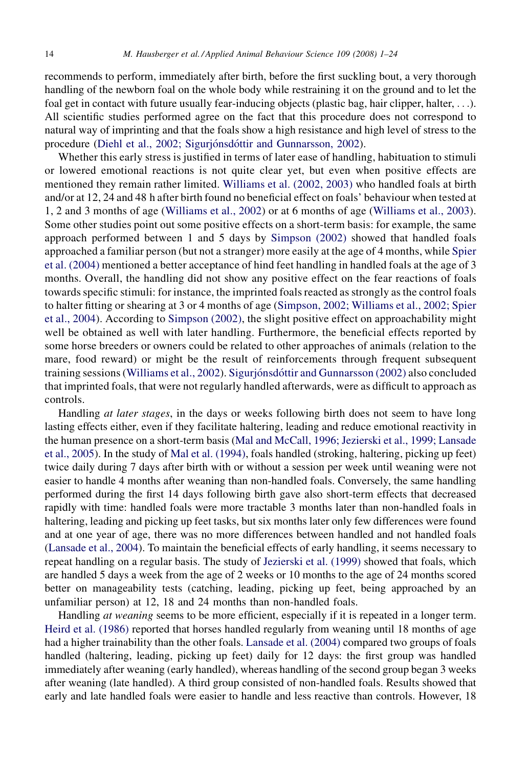recommends to perform, immediately after birth, before the first suckling bout, a very thorough handling of the newborn foal on the whole body while restraining it on the ground and to let the foal get in contact with future usually fear-inducing objects (plastic bag, hair clipper, halter, ...). All scientific studies performed agree on the fact that this procedure does not correspond to natural way of imprinting and that the foals show a high resistance and high level of stress to the procedure (Diehl et al., 2002; Sigurjónsdóttir and Gunnarsson, 2002).

Whether this early stress is justified in terms of later ease of handling, habituation to stimuli or lowered emotional reactions is not quite clear yet, but even when positive effects are mentioned they remain rather limited. [Williams et al. \(2002, 2003\)](#page-23-0) who handled foals at birth and/or at 12, 24 and 48 h after birth found no beneficial effect on foals' behaviour when tested at 1, 2 and 3 months of age ([Williams et al., 2002](#page-23-0)) or at 6 months of age ([Williams et al., 2003](#page-23-0)). Some other studies point out some positive effects on a short-term basis: for example, the same approach performed between 1 and 5 days by [Simpson \(2002\)](#page-22-0) showed that handled foals approached a familiar person (but not a stranger) more easily at the age of 4 months, while [Spier](#page-22-0) [et al. \(2004\)](#page-22-0) mentioned a better acceptance of hind feet handling in handled foals at the age of 3 months. Overall, the handling did not show any positive effect on the fear reactions of foals towards specific stimuli: for instance, the imprinted foals reacted as strongly as the control foals to halter fitting or shearing at 3 or 4 months of age [\(Simpson, 2002; Williams et al., 2002; Spier](#page-22-0) [et al., 2004\)](#page-22-0). According to [Simpson \(2002\)](#page-22-0), the slight positive effect on approachability might well be obtained as well with later handling. Furthermore, the beneficial effects reported by some horse breeders or owners could be related to other approaches of animals (relation to the mare, food reward) or might be the result of reinforcements through frequent subsequent training sessions ([Williams et al., 2002](#page-23-0)). Sigurjónsdóttir and Gunnarsson (2002) also concluded that imprinted foals, that were not regularly handled afterwards, were as difficult to approach as controls.

Handling at later stages, in the days or weeks following birth does not seem to have long lasting effects either, even if they facilitate haltering, leading and reduce emotional reactivity in the human presence on a short-term basis ([Mal and McCall, 1996; Jezierski et al., 1999; Lansade](#page-20-0) [et al., 2005\)](#page-20-0). In the study of [Mal et al. \(1994\),](#page-20-0) foals handled (stroking, haltering, picking up feet) twice daily during 7 days after birth with or without a session per week until weaning were not easier to handle 4 months after weaning than non-handled foals. Conversely, the same handling performed during the first 14 days following birth gave also short-term effects that decreased rapidly with time: handled foals were more tractable 3 months later than non-handled foals in haltering, leading and picking up feet tasks, but six months later only few differences were found and at one year of age, there was no more differences between handled and not handled foals [\(Lansade et al., 2004\)](#page-20-0). To maintain the beneficial effects of early handling, it seems necessary to repeat handling on a regular basis. The study of [Jezierski et al. \(1999\)](#page-20-0) showed that foals, which are handled 5 days a week from the age of 2 weeks or 10 months to the age of 24 months scored better on manageability tests (catching, leading, picking up feet, being approached by an unfamiliar person) at 12, 18 and 24 months than non-handled foals.

Handling at weaning seems to be more efficient, especially if it is repeated in a longer term. [Heird et al. \(1986\)](#page-19-0) reported that horses handled regularly from weaning until 18 months of age had a higher trainability than the other foals. [Lansade et al. \(2004\)](#page-20-0) compared two groups of foals handled (haltering, leading, picking up feet) daily for 12 days: the first group was handled immediately after weaning (early handled), whereas handling of the second group began 3 weeks after weaning (late handled). A third group consisted of non-handled foals. Results showed that early and late handled foals were easier to handle and less reactive than controls. However, 18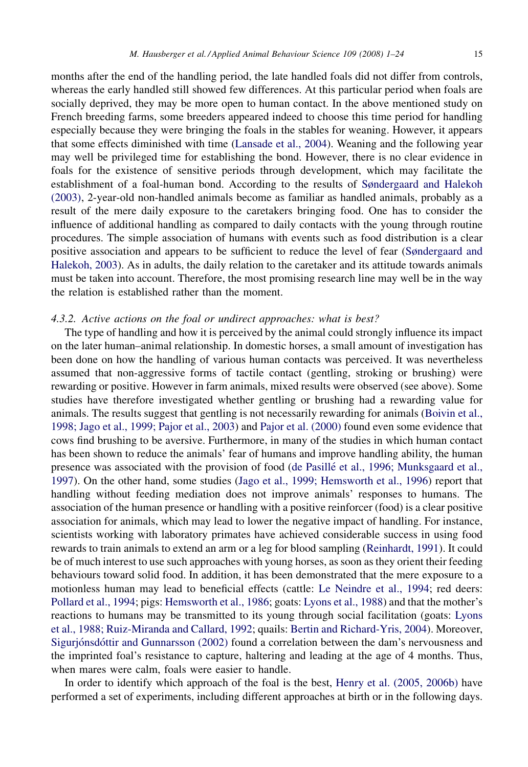months after the end of the handling period, the late handled foals did not differ from controls, whereas the early handled still showed few differences. At this particular period when foals are socially deprived, they may be more open to human contact. In the above mentioned study on French breeding farms, some breeders appeared indeed to choose this time period for handling especially because they were bringing the foals in the stables for weaning. However, it appears that some effects diminished with time ([Lansade et al., 2004\)](#page-20-0). Weaning and the following year may well be privileged time for establishing the bond. However, there is no clear evidence in foals for the existence of sensitive periods through development, which may facilitate the establishment of a foal-human bond. According to the results of [Søndergaard and Halekoh](#page-22-0) [\(2003\)](#page-22-0), 2-year-old non-handled animals become as familiar as handled animals, probably as a result of the mere daily exposure to the caretakers bringing food. One has to consider the influence of additional handling as compared to daily contacts with the young through routine procedures. The simple association of humans with events such as food distribution is a clear positive association and appears to be sufficient to reduce the level of fear ([Søndergaard and](#page-22-0) [Halekoh, 2003](#page-22-0)). As in adults, the daily relation to the caretaker and its attitude towards animals must be taken into account. Therefore, the most promising research line may well be in the way the relation is established rather than the moment.

#### 4.3.2. Active actions on the foal or undirect approaches: what is best?

The type of handling and how it is perceived by the animal could strongly influence its impact on the later human–animal relationship. In domestic horses, a small amount of investigation has been done on how the handling of various human contacts was perceived. It was nevertheless assumed that non-aggressive forms of tactile contact (gentling, stroking or brushing) were rewarding or positive. However in farm animals, mixed results were observed (see above). Some studies have therefore investigated whether gentling or brushing had a rewarding value for animals. The results suggest that gentling is not necessarily rewarding for animals ([Boivin et al.,](#page-18-0) [1998; Jago et al., 1999; Pajor et al., 2003](#page-18-0)) and [Pajor et al. \(2000\)](#page-21-0) found even some evidence that cows find brushing to be aversive. Furthermore, in many of the studies in which human contact has been shown to reduce the animals' fear of humans and improve handling ability, the human presence was associated with the provision of food (de Pasillé [et al., 1996; Munksgaard et al.,](#page-22-0) [1997](#page-22-0)). On the other hand, some studies ([Jago et al., 1999; Hemsworth et al., 1996\)](#page-19-0) report that handling without feeding mediation does not improve animals' responses to humans. The association of the human presence or handling with a positive reinforcer (food) is a clear positive association for animals, which may lead to lower the negative impact of handling. For instance, scientists working with laboratory primates have achieved considerable success in using food rewards to train animals to extend an arm or a leg for blood sampling ([Reinhardt, 1991](#page-22-0)). It could be of much interest to use such approaches with young horses, as soon as they orient their feeding behaviours toward solid food. In addition, it has been demonstrated that the mere exposure to a motionless human may lead to beneficial effects (cattle: [Le Neindre et al., 1994;](#page-20-0) red deers: [Pollard et al., 1994;](#page-22-0) pigs: [Hemsworth et al., 1986;](#page-19-0) goats: [Lyons et al., 1988\)](#page-20-0) and that the mother's reactions to humans may be transmitted to its young through social facilitation (goats: [Lyons](#page-20-0) [et al., 1988; Ruiz-Miranda and Callard, 1992;](#page-20-0) quails: [Bertin and Richard-Yris, 2004](#page-17-0)). Moreover, Sigurjónsdóttir and Gunnarsson (2002) found a correlation between the dam's nervousness and the imprinted foal's resistance to capture, haltering and leading at the age of 4 months. Thus, when mares were calm, foals were easier to handle.

In order to identify which approach of the foal is the best, [Henry et al. \(2005, 2006b\)](#page-19-0) have performed a set of experiments, including different approaches at birth or in the following days.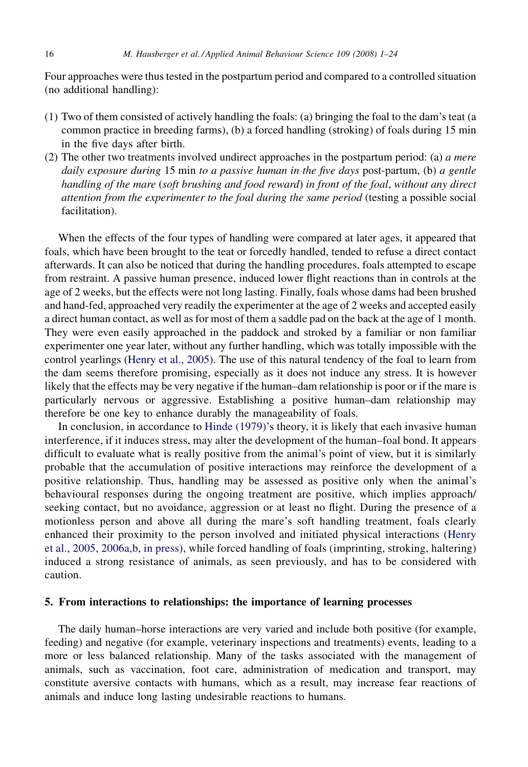Four approaches were thus tested in the postpartum period and compared to a controlled situation (no additional handling):

- (1) Two of them consisted of actively handling the foals: (a) bringing the foal to the dam's teat (a common practice in breeding farms), (b) a forced handling (stroking) of foals during 15 min in the five days after birth.
- (2) The other two treatments involved undirect approaches in the postpartum period: (a)  $a$  mere daily exposure during 15 min to a passive human in the five days post-partum, (b) a gentle handling of the mare (soft brushing and food reward) in front of the foal, without any direct attention from the experimenter to the foal during the same period (testing a possible social facilitation).

When the effects of the four types of handling were compared at later ages, it appeared that foals, which have been brought to the teat or forcedly handled, tended to refuse a direct contact afterwards. It can also be noticed that during the handling procedures, foals attempted to escape from restraint. A passive human presence, induced lower flight reactions than in controls at the age of 2 weeks, but the effects were not long lasting. Finally, foals whose dams had been brushed and hand-fed, approached very readily the experimenter at the age of 2 weeks and accepted easily a direct human contact, as well as for most of them a saddle pad on the back at the age of 1 month. They were even easily approached in the paddock and stroked by a familiar or non familiar experimenter one year later, without any further handling, which was totally impossible with the control yearlings [\(Henry et al., 2005\)](#page-19-0). The use of this natural tendency of the foal to learn from the dam seems therefore promising, especially as it does not induce any stress. It is however likely that the effects may be very negative if the human–dam relationship is poor or if the mare is particularly nervous or aggressive. Establishing a positive human–dam relationship may therefore be one key to enhance durably the manageability of foals.

In conclusion, in accordance to [Hinde \(1979\)](#page-19-0)'s theory, it is likely that each invasive human interference, if it induces stress, may alter the development of the human–foal bond. It appears difficult to evaluate what is really positive from the animal's point of view, but it is similarly probable that the accumulation of positive interactions may reinforce the development of a positive relationship. Thus, handling may be assessed as positive only when the animal's behavioural responses during the ongoing treatment are positive, which implies approach/ seeking contact, but no avoidance, aggression or at least no flight. During the presence of a motionless person and above all during the mare's soft handling treatment, foals clearly enhanced their proximity to the person involved and initiated physical interactions ([Henry](#page-19-0) [et al., 2005, 2006a,b, in press\)](#page-19-0), while forced handling of foals (imprinting, stroking, haltering) induced a strong resistance of animals, as seen previously, and has to be considered with caution.

# 5. From interactions to relationships: the importance of learning processes

The daily human–horse interactions are very varied and include both positive (for example, feeding) and negative (for example, veterinary inspections and treatments) events, leading to a more or less balanced relationship. Many of the tasks associated with the management of animals, such as vaccination, foot care, administration of medication and transport, may constitute aversive contacts with humans, which as a result, may increase fear reactions of animals and induce long lasting undesirable reactions to humans.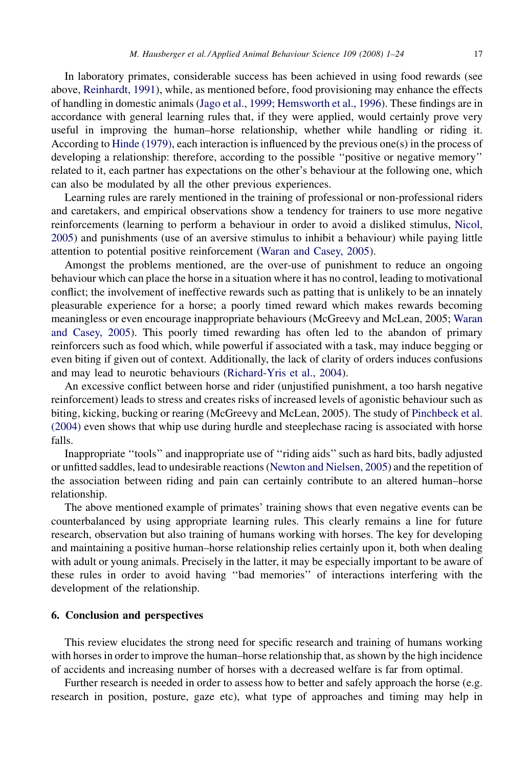In laboratory primates, considerable success has been achieved in using food rewards (see above, [Reinhardt, 1991](#page-22-0)), while, as mentioned before, food provisioning may enhance the effects of handling in domestic animals [\(Jago et al., 1999; Hemsworth et al., 1996\)](#page-19-0). These findings are in accordance with general learning rules that, if they were applied, would certainly prove very useful in improving the human–horse relationship, whether while handling or riding it. According to [Hinde \(1979\)](#page-19-0), each interaction is influenced by the previous one(s) in the process of developing a relationship: therefore, according to the possible ''positive or negative memory'' related to it, each partner has expectations on the other's behaviour at the following one, which can also be modulated by all the other previous experiences.

Learning rules are rarely mentioned in the training of professional or non-professional riders and caretakers, and empirical observations show a tendency for trainers to use more negative reinforcements (learning to perform a behaviour in order to avoid a disliked stimulus, [Nicol,](#page-21-0) [2005](#page-21-0)) and punishments (use of an aversive stimulus to inhibit a behaviour) while paying little attention to potential positive reinforcement ([Waran and Casey, 2005\)](#page-22-0).

Amongst the problems mentioned, are the over-use of punishment to reduce an ongoing behaviour which can place the horse in a situation where it has no control, leading to motivational conflict; the involvement of ineffective rewards such as patting that is unlikely to be an innately pleasurable experience for a horse; a poorly timed reward which makes rewards becoming meaningless or even encourage inappropriate behaviours (McGreevy and McLean, 2005; [Waran](#page-22-0) [and Casey, 2005\)](#page-22-0). This poorly timed rewarding has often led to the abandon of primary reinforcers such as food which, while powerful if associated with a task, may induce begging or even biting if given out of context. Additionally, the lack of clarity of orders induces confusions and may lead to neurotic behaviours [\(Richard-Yris et al., 2004](#page-22-0)).

An excessive conflict between horse and rider (unjustified punishment, a too harsh negative reinforcement) leads to stress and creates risks of increased levels of agonistic behaviour such as biting, kicking, bucking or rearing (McGreevy and McLean, 2005). The study of [Pinchbeck et al.](#page-22-0) [\(2004\)](#page-22-0) even shows that whip use during hurdle and steeplechase racing is associated with horse falls.

Inappropriate ''tools'' and inappropriate use of ''riding aids'' such as hard bits, badly adjusted or unfitted saddles, lead to undesirable reactions [\(Newton and Nielsen, 2005\)](#page-21-0) and the repetition of the association between riding and pain can certainly contribute to an altered human–horse relationship.

The above mentioned example of primates' training shows that even negative events can be counterbalanced by using appropriate learning rules. This clearly remains a line for future research, observation but also training of humans working with horses. The key for developing and maintaining a positive human–horse relationship relies certainly upon it, both when dealing with adult or young animals. Precisely in the latter, it may be especially important to be aware of these rules in order to avoid having ''bad memories'' of interactions interfering with the development of the relationship.

## 6. Conclusion and perspectives

This review elucidates the strong need for specific research and training of humans working with horses in order to improve the human–horse relationship that, as shown by the high incidence of accidents and increasing number of horses with a decreased welfare is far from optimal.

Further research is needed in order to assess how to better and safely approach the horse (e.g. research in position, posture, gaze etc), what type of approaches and timing may help in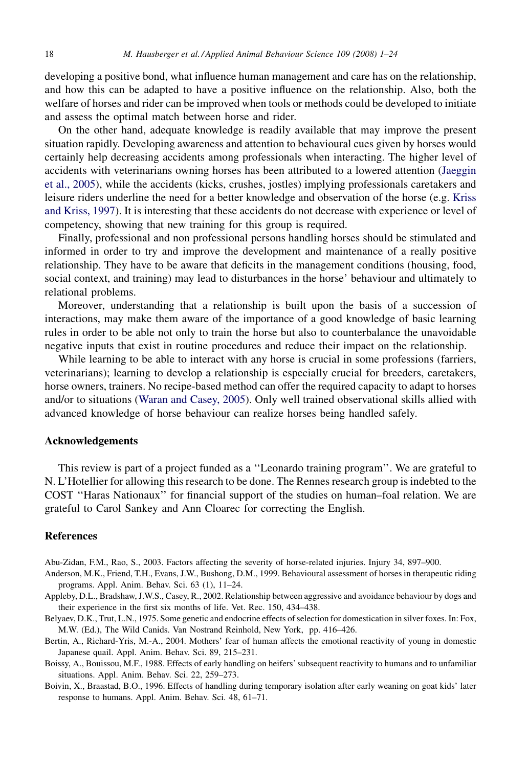<span id="page-17-0"></span>developing a positive bond, what influence human management and care has on the relationship, and how this can be adapted to have a positive influence on the relationship. Also, both the welfare of horses and rider can be improved when tools or methods could be developed to initiate and assess the optimal match between horse and rider.

On the other hand, adequate knowledge is readily available that may improve the present situation rapidly. Developing awareness and attention to behavioural cues given by horses would certainly help decreasing accidents among professionals when interacting. The higher level of accidents with veterinarians owning horses has been attributed to a lowered attention ([Jaeggin](#page-19-0) [et al., 2005\)](#page-19-0), while the accidents (kicks, crushes, jostles) implying professionals caretakers and leisure riders underline the need for a better knowledge and observation of the horse (e.g. [Kriss](#page-20-0) [and Kriss, 1997](#page-20-0)). It is interesting that these accidents do not decrease with experience or level of competency, showing that new training for this group is required.

Finally, professional and non professional persons handling horses should be stimulated and informed in order to try and improve the development and maintenance of a really positive relationship. They have to be aware that deficits in the management conditions (housing, food, social context, and training) may lead to disturbances in the horse' behaviour and ultimately to relational problems.

Moreover, understanding that a relationship is built upon the basis of a succession of interactions, may make them aware of the importance of a good knowledge of basic learning rules in order to be able not only to train the horse but also to counterbalance the unavoidable negative inputs that exist in routine procedures and reduce their impact on the relationship.

While learning to be able to interact with any horse is crucial in some professions (farriers, veterinarians); learning to develop a relationship is especially crucial for breeders, caretakers, horse owners, trainers. No recipe-based method can offer the required capacity to adapt to horses and/or to situations ([Waran and Casey, 2005\)](#page-22-0). Only well trained observational skills allied with advanced knowledge of horse behaviour can realize horses being handled safely.

## Acknowledgements

This review is part of a project funded as a ''Leonardo training program''. We are grateful to N. L'Hotellier for allowing this research to be done. The Rennes research group is indebted to the COST ''Haras Nationaux'' for financial support of the studies on human–foal relation. We are grateful to Carol Sankey and Ann Cloarec for correcting the English.

# References

Abu-Zidan, F.M., Rao, S., 2003. Factors affecting the severity of horse-related injuries. Injury 34, 897–900.

- Anderson, M.K., Friend, T.H., Evans, J.W., Bushong, D.M., 1999. Behavioural assessment of horses in therapeutic riding programs. Appl. Anim. Behav. Sci. 63 (1), 11–24.
- Appleby, D.L., Bradshaw, J.W.S., Casey, R., 2002. Relationship between aggressive and avoidance behaviour by dogs and their experience in the first six months of life. Vet. Rec. 150, 434–438.
- Belyaev, D.K., Trut, L.N., 1975. Some genetic and endocrine effects of selection for domestication in silver foxes. In: Fox, M.W. (Ed.), The Wild Canids. Van Nostrand Reinhold, New York, pp. 416–426.
- Bertin, A., Richard-Yris, M.-A., 2004. Mothers' fear of human affects the emotional reactivity of young in domestic Japanese quail. Appl. Anim. Behav. Sci. 89, 215–231.
- Boissy, A., Bouissou, M.F., 1988. Effects of early handling on heifers' subsequent reactivity to humans and to unfamiliar situations. Appl. Anim. Behav. Sci. 22, 259–273.
- Boivin, X., Braastad, B.O., 1996. Effects of handling during temporary isolation after early weaning on goat kids' later response to humans. Appl. Anim. Behav. Sci. 48, 61–71.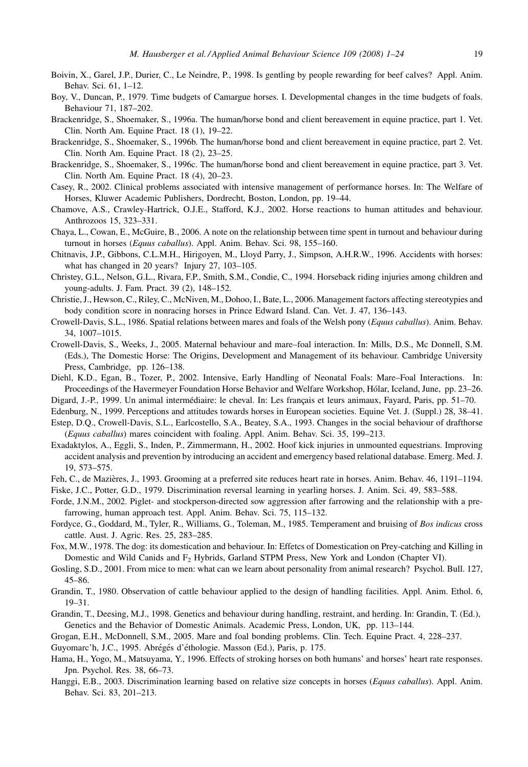- <span id="page-18-0"></span>Boivin, X., Garel, J.P., Durier, C., Le Neindre, P., 1998. Is gentling by people rewarding for beef calves? Appl. Anim. Behav. Sci. 61, 1–12.
- Boy, V., Duncan, P., 1979. Time budgets of Camargue horses. I. Developmental changes in the time budgets of foals. Behaviour 71, 187–202.
- Brackenridge, S., Shoemaker, S., 1996a. The human/horse bond and client bereavement in equine practice, part 1. Vet. Clin. North Am. Equine Pract. 18 (1), 19–22.
- Brackenridge, S., Shoemaker, S., 1996b. The human/horse bond and client bereavement in equine practice, part 2. Vet. Clin. North Am. Equine Pract. 18 (2), 23–25.
- Brackenridge, S., Shoemaker, S., 1996c. The human/horse bond and client bereavement in equine practice, part 3. Vet. Clin. North Am. Equine Pract. 18 (4), 20–23.
- Casey, R., 2002. Clinical problems associated with intensive management of performance horses. In: The Welfare of Horses, Kluwer Academic Publishers, Dordrecht, Boston, London, pp. 19–44.
- Chamove, A.S., Crawley-Hartrick, O.J.E., Stafford, K.J., 2002. Horse reactions to human attitudes and behaviour. Anthrozoos 15, 323–331.
- Chaya, L., Cowan, E., McGuire, B., 2006. A note on the relationship between time spent in turnout and behaviour during turnout in horses (*Equus caballus*). Appl. Anim. Behav. Sci. 98, 155–160.
- Chitnavis, J.P., Gibbons, C.L.M.H., Hirigoyen, M., Lloyd Parry, J., Simpson, A.H.R.W., 1996. Accidents with horses: what has changed in 20 years? Injury 27, 103–105.
- Christey, G.L., Nelson, G.L., Rivara, F.P., Smith, S.M., Condie, C., 1994. Horseback riding injuries among children and young-adults. J. Fam. Pract. 39 (2), 148–152.
- Christie, J., Hewson, C., Riley, C., McNiven, M., Dohoo, I., Bate, L., 2006. Management factors affecting stereotypies and body condition score in nonracing horses in Prince Edward Island. Can. Vet. J. 47, 136–143.
- Crowell-Davis, S.L., 1986. Spatial relations between mares and foals of the Welsh pony (Equus caballus). Anim. Behav. 34, 1007–1015.
- Crowell-Davis, S., Weeks, J., 2005. Maternal behaviour and mare–foal interaction. In: Mills, D.S., Mc Donnell, S.M. (Eds.), The Domestic Horse: The Origins, Development and Management of its behaviour. Cambridge University Press, Cambridge, pp. 126–138.
- Diehl, K.D., Egan, B., Tozer, P., 2002. Intensive, Early Handling of Neonatal Foals: Mare–Foal Interactions. In: Proceedings of the Havermeyer Foundation Horse Behavior and Welfare Workshop, Hólar, Iceland, June, pp. 23–26.
- Digard, J.-P., 1999. Un animal intermédiaire: le cheval. In: Les français et leurs animaux, Fayard, Paris, pp. 51–70.
- Edenburg, N., 1999. Perceptions and attitudes towards horses in European societies. Equine Vet. J. (Suppl.) 28, 38–41. Estep, D.Q., Crowell-Davis, S.L., Earlcostello, S.A., Beatey, S.A., 1993. Changes in the social behaviour of drafthorse
- (Equus caballus) mares coincident with foaling. Appl. Anim. Behav. Sci. 35, 199–213. Exadaktylos, A., Eggli, S., Inden, P., Zimmermann, H., 2002. Hoof kick injuries in unmounted equestrians. Improving accident analysis and prevention by introducing an accident and emergency based relational database. Emerg. Med. J.
- Feh, C., de Mazières, J., 1993. Grooming at a preferred site reduces heart rate in horses. Anim. Behav. 46, 1191–1194.
- Fiske, J.C., Potter, G.D., 1979. Discrimination reversal learning in yearling horses. J. Anim. Sci. 49, 583–588.
- Forde, J.N.M., 2002. Piglet- and stockperson-directed sow aggression after farrowing and the relationship with a prefarrowing, human approach test. Appl. Anim. Behav. Sci. 75, 115–132.
- Fordyce, G., Goddard, M., Tyler, R., Williams, G., Toleman, M., 1985. Temperament and bruising of Bos indicus cross cattle. Aust. J. Agric. Res. 25, 283–285.
- Fox, M.W., 1978. The dog: its domestication and behaviour. In: Effetcs of Domestication on Prey-catching and Killing in Domestic and Wild Canids and F2 Hybrids, Garland STPM Press, New York and London (Chapter VI).
- Gosling, S.D., 2001. From mice to men: what can we learn about personality from animal research? Psychol. Bull. 127, 45–86.
- Grandin, T., 1980. Observation of cattle behaviour applied to the design of handling facilities. Appl. Anim. Ethol. 6, 19–31.
- Grandin, T., Deesing, M.J., 1998. Genetics and behaviour during handling, restraint, and herding. In: Grandin, T. (Ed.), Genetics and the Behavior of Domestic Animals. Academic Press, London, UK, pp. 113–144.
- Grogan, E.H., McDonnell, S.M., 2005. Mare and foal bonding problems. Clin. Tech. Equine Pract. 4, 228–237.
- Guyomarc'h, J.C., 1995. Abrégés d'éthologie. Masson (Ed.), Paris, p. 175.

19, 573–575.

- Hama, H., Yogo, M., Matsuyama, Y., 1996. Effects of stroking horses on both humans' and horses' heart rate responses. Jpn. Psychol. Res. 38, 66–73.
- Hanggi, E.B., 2003. Discrimination learning based on relative size concepts in horses (*Equus caballus*). Appl. Anim. Behav. Sci. 83, 201–213.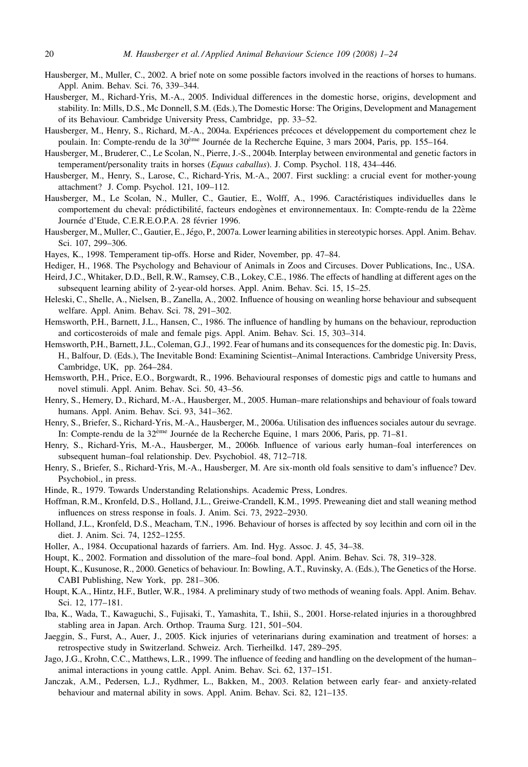- <span id="page-19-0"></span>Hausberger, M., Muller, C., 2002. A brief note on some possible factors involved in the reactions of horses to humans. Appl. Anim. Behav. Sci. 76, 339–344.
- Hausberger, M., Richard-Yris, M.-A., 2005. Individual differences in the domestic horse, origins, development and stability. In: Mills, D.S., Mc Donnell, S.M. (Eds.),The Domestic Horse: The Origins, Development and Management of its Behaviour. Cambridge University Press, Cambridge, pp. 33–52.
- Hausberger, M., Henry, S., Richard, M.-A., 2004a. Expériences précoces et développement du comportement chez le poulain. In: Compte-rendu de la 30<sup>ème</sup> Journée de la Recherche Equine, 3 mars 2004, Paris, pp. 155–164.
- Hausberger, M., Bruderer, C., Le Scolan, N., Pierre, J.-S., 2004b. Interplay between environmental and genetic factors in temperament/personality traits in horses (Equus caballus). J. Comp. Psychol. 118, 434–446.
- Hausberger, M., Henry, S., Larose, C., Richard-Yris, M.-A., 2007. First suckling: a crucial event for mother-young attachment? J. Comp. Psychol. 121, 109–112.
- Hausberger, M., Le Scolan, N., Muller, C., Gautier, E., Wolff, A., 1996. Caractéristiques individuelles dans le comportement du cheval: prédictibilité, facteurs endogènes et environnementaux. In: Compte-rendu de la 22ème Journée d'Etude, C.E.R.E.O.P.A. 28 février 1996.
- Hausberger, M., Muller, C., Gautier, E., Jégo, P., 2007a. Lower learning abilities in stereotypic horses. Appl. Anim. Behav. Sci. 107, 299–306.
- Hayes, K., 1998. Temperament tip-offs. Horse and Rider, November, pp. 47–84.
- Hediger, H., 1968. The Psychology and Behaviour of Animals in Zoos and Circuses. Dover Publications, Inc., USA.
- Heird, J.C., Whitaker, D.D., Bell, R.W., Ramsey, C.B., Lokey, C.E., 1986. The effects of handling at different ages on the subsequent learning ability of 2-year-old horses. Appl. Anim. Behav. Sci. 15, 15–25.
- Heleski, C., Shelle, A., Nielsen, B., Zanella, A., 2002. Influence of housing on weanling horse behaviour and subsequent welfare. Appl. Anim. Behav. Sci. 78, 291–302.
- Hemsworth, P.H., Barnett, J.L., Hansen, C., 1986. The influence of handling by humans on the behaviour, reproduction and corticosteroids of male and female pigs. Appl. Anim. Behav. Sci. 15, 303–314.
- Hemsworth, P.H., Barnett, J.L., Coleman, G.J., 1992. Fear of humans and its consequences for the domestic pig. In: Davis, H., Balfour, D. (Eds.), The Inevitable Bond: Examining Scientist–Animal Interactions. Cambridge University Press, Cambridge, UK, pp. 264–284.
- Hemsworth, P.H., Price, E.O., Borgwardt, R., 1996. Behavioural responses of domestic pigs and cattle to humans and novel stimuli. Appl. Anim. Behav. Sci. 50, 43–56.
- Henry, S., Hemery, D., Richard, M.-A., Hausberger, M., 2005. Human–mare relationships and behaviour of foals toward humans. Appl. Anim. Behav. Sci. 93, 341–362.
- Henry, S., Briefer, S., Richard-Yris, M.-A., Hausberger, M., 2006a. Utilisation des influences sociales autour du sevrage. In: Compte-rendu de la 32<sup>ème</sup> Journée de la Recherche Equine, 1 mars 2006, Paris, pp. 71–81.
- Henry, S., Richard-Yris, M.-A., Hausberger, M., 2006b. Influence of various early human–foal interferences on subsequent human–foal relationship. Dev. Psychobiol. 48, 712–718.
- Henry, S., Briefer, S., Richard-Yris, M.-A., Hausberger, M. Are six-month old foals sensitive to dam's influence? Dev. Psychobiol., in press.
- Hinde, R., 1979. Towards Understanding Relationships. Academic Press, Londres.
- Hoffman, R.M., Kronfeld, D.S., Holland, J.L., Greiwe-Crandell, K.M., 1995. Preweaning diet and stall weaning method influences on stress response in foals. J. Anim. Sci. 73, 2922–2930.
- Holland, J.L., Kronfeld, D.S., Meacham, T.N., 1996. Behaviour of horses is affected by soy lecithin and corn oil in the diet. J. Anim. Sci. 74, 1252–1255.
- Holler, A., 1984. Occupational hazards of farriers. Am. Ind. Hyg. Assoc. J. 45, 34–38.
- Houpt, K., 2002. Formation and dissolution of the mare–foal bond. Appl. Anim. Behav. Sci. 78, 319–328.
- Houpt, K., Kusunose, R., 2000. Genetics of behaviour. In: Bowling, A.T., Ruvinsky, A. (Eds.), The Genetics of the Horse. CABI Publishing, New York, pp. 281–306.
- Houpt, K.A., Hintz, H.F., Butler, W.R., 1984. A preliminary study of two methods of weaning foals. Appl. Anim. Behav. Sci. 12, 177–181.
- Iba, K., Wada, T., Kawaguchi, S., Fujisaki, T., Yamashita, T., Ishii, S., 2001. Horse-related injuries in a thoroughbred stabling area in Japan. Arch. Orthop. Trauma Surg. 121, 501–504.
- Jaeggin, S., Furst, A., Auer, J., 2005. Kick injuries of veterinarians during examination and treatment of horses: a retrospective study in Switzerland. Schweiz. Arch. Tierheilkd. 147, 289–295.
- Jago, J.G., Krohn, C.C., Matthews, L.R., 1999. The influence of feeding and handling on the development of the human– animal interactions in young cattle. Appl. Anim. Behav. Sci. 62, 137–151.
- Janczak, A.M., Pedersen, L.J., Rydhmer, L., Bakken, M., 2003. Relation between early fear- and anxiety-related behaviour and maternal ability in sows. Appl. Anim. Behav. Sci. 82, 121–135.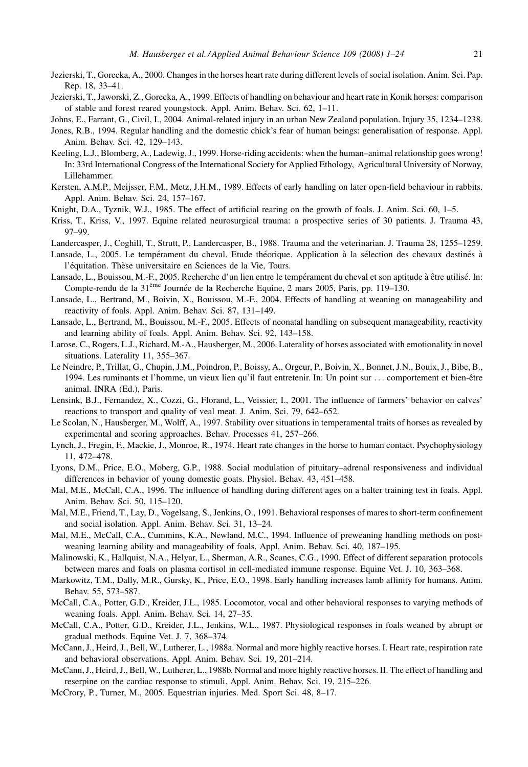- <span id="page-20-0"></span>Jezierski, T., Gorecka, A., 2000. Changes in the horses heart rate during different levels of social isolation. Anim. Sci. Pap. Rep. 18, 33–41.
- Jezierski, T., Jaworski, Z., Gorecka, A., 1999. Effects of handling on behaviour and heart rate in Konik horses: comparison of stable and forest reared youngstock. Appl. Anim. Behav. Sci. 62, 1–11.
- Johns, E., Farrant, G., Civil, I., 2004. Animal-related injury in an urban New Zealand population. Injury 35, 1234–1238.
- Jones, R.B., 1994. Regular handling and the domestic chick's fear of human beings: generalisation of response. Appl. Anim. Behav. Sci. 42, 129–143.
- Keeling, L.J., Blomberg, A., Ladewig, J., 1999. Horse-riding accidents: when the human–animal relationship goes wrong! In: 33rd International Congress of the International Society for Applied Ethology, Agricultural University of Norway, Lillehammer.
- Kersten, A.M.P., Meijsser, F.M., Metz, J.H.M., 1989. Effects of early handling on later open-field behaviour in rabbits. Appl. Anim. Behav. Sci. 24, 157–167.
- Knight, D.A., Tyznik, W.J., 1985. The effect of artificial rearing on the growth of foals. J. Anim. Sci. 60, 1–5.
- Kriss, T., Kriss, V., 1997. Equine related neurosurgical trauma: a prospective series of 30 patients. J. Trauma 43, 97–99.
- Landercasper, J., Coghill, T., Strutt, P., Landercasper, B., 1988. Trauma and the veterinarian. J. Trauma 28, 1255–1259.
- Lansade, L., 2005. Le tempérament du cheval. Etude théorique. Application à la sélection des chevaux destinés à l'équitation. Thèse universitaire en Sciences de la Vie, Tours.
- Lansade, L., Bouissou, M.-F., 2005. Recherche d'un lien entre le tempérament du cheval et son aptitude à être utilisé. In: Compte-rendu de la 31<sup>ème</sup> Journée de la Recherche Equine, 2 mars 2005, Paris, pp. 119–130.
- Lansade, L., Bertrand, M., Boivin, X., Bouissou, M.-F., 2004. Effects of handling at weaning on manageability and reactivity of foals. Appl. Anim. Behav. Sci. 87, 131–149.
- Lansade, L., Bertrand, M., Bouissou, M.-F., 2005. Effects of neonatal handling on subsequent manageability, reactivity and learning ability of foals. Appl. Anim. Behav. Sci. 92, 143–158.
- Larose, C., Rogers, L.J., Richard, M.-A., Hausberger, M., 2006. Laterality of horses associated with emotionality in novel situations. Laterality 11, 355–367.
- Le Neindre, P., Trillat, G., Chupin, J.M., Poindron, P., Boissy, A., Orgeur, P., Boivin, X., Bonnet, J.N., Bouix, J., Bibe, B., 1994. Les ruminants et l'homme, un vieux lien qu'il faut entretenir. In: Un point sur ... comportement et bien-être animal. INRA (Ed.), Paris.
- Lensink, B.J., Fernandez, X., Cozzi, G., Florand, L., Veissier, I., 2001. The influence of farmers' behavior on calves' reactions to transport and quality of veal meat. J. Anim. Sci. 79, 642–652.
- Le Scolan, N., Hausberger, M., Wolff, A., 1997. Stability over situations in temperamental traits of horses as revealed by experimental and scoring approaches. Behav. Processes 41, 257–266.
- Lynch, J., Fregin, F., Mackie, J., Monroe, R., 1974. Heart rate changes in the horse to human contact. Psychophysiology 11, 472–478.
- Lyons, D.M., Price, E.O., Moberg, G.P., 1988. Social modulation of pituitary–adrenal responsiveness and individual differences in behavior of young domestic goats. Physiol. Behav. 43, 451–458.
- Mal, M.E., McCall, C.A., 1996. The influence of handling during different ages on a halter training test in foals. Appl. Anim. Behav. Sci. 50, 115–120.
- Mal, M.E., Friend, T., Lay, D., Vogelsang, S., Jenkins, O., 1991. Behavioral responses of mares to short-term confinement and social isolation. Appl. Anim. Behav. Sci. 31, 13–24.
- Mal, M.E., McCall, C.A., Cummins, K.A., Newland, M.C., 1994. Influence of preweaning handling methods on postweaning learning ability and manageability of foals. Appl. Anim. Behav. Sci. 40, 187–195.
- Malinowski, K., Hallquist, N.A., Helyar, L., Sherman, A.R., Scanes, C.G., 1990. Effect of different separation protocols between mares and foals on plasma cortisol in cell-mediated immune response. Equine Vet. J. 10, 363–368.
- Markowitz, T.M., Dally, M.R., Gursky, K., Price, E.O., 1998. Early handling increases lamb affinity for humans. Anim. Behav. 55, 573–587.
- McCall, C.A., Potter, G.D., Kreider, J.L., 1985. Locomotor, vocal and other behavioral responses to varying methods of weaning foals. Appl. Anim. Behav. Sci. 14, 27–35.
- McCall, C.A., Potter, G.D., Kreider, J.L., Jenkins, W.L., 1987. Physiological responses in foals weaned by abrupt or gradual methods. Equine Vet. J. 7, 368–374.
- McCann, J., Heird, J., Bell, W., Lutherer, L., 1988a. Normal and more highly reactive horses. I. Heart rate, respiration rate and behavioral observations. Appl. Anim. Behav. Sci. 19, 201–214.
- McCann, J., Heird, J., Bell, W., Lutherer, L., 1988b. Normal and more highly reactive horses. II. The effect of handling and reserpine on the cardiac response to stimuli. Appl. Anim. Behav. Sci. 19, 215–226.
- McCrory, P., Turner, M., 2005. Equestrian injuries. Med. Sport Sci. 48, 8–17.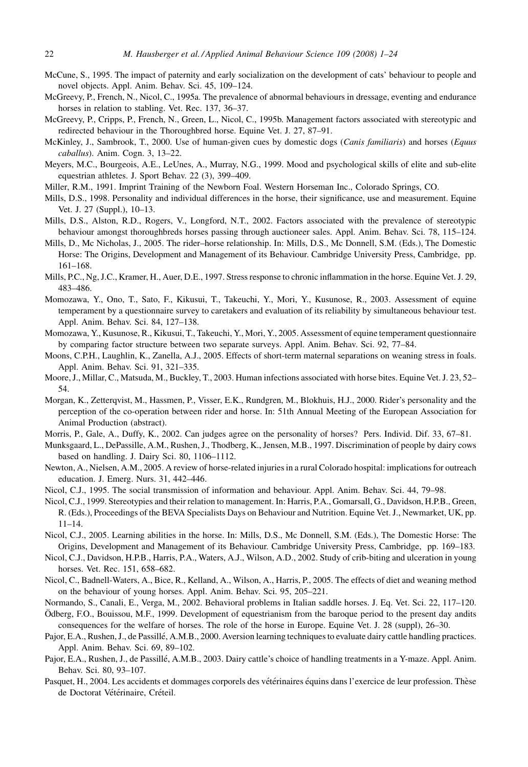- <span id="page-21-0"></span>McCune, S., 1995. The impact of paternity and early socialization on the development of cats' behaviour to people and novel objects. Appl. Anim. Behav. Sci. 45, 109–124.
- McGreevy, P., French, N., Nicol, C., 1995a. The prevalence of abnormal behaviours in dressage, eventing and endurance horses in relation to stabling. Vet. Rec. 137, 36–37.
- McGreevy, P., Cripps, P., French, N., Green, L., Nicol, C., 1995b. Management factors associated with stereotypic and redirected behaviour in the Thoroughbred horse. Equine Vet. J. 27, 87–91.
- McKinley, J., Sambrook, T., 2000. Use of human-given cues by domestic dogs (Canis familiaris) and horses (Equus caballus). Anim. Cogn. 3, 13–22.
- Meyers, M.C., Bourgeois, A.E., LeUnes, A., Murray, N.G., 1999. Mood and psychological skills of elite and sub-elite equestrian athletes. J. Sport Behav. 22 (3), 399–409.
- Miller, R.M., 1991. Imprint Training of the Newborn Foal. Western Horseman Inc., Colorado Springs, CO.
- Mills, D.S., 1998. Personality and individual differences in the horse, their significance, use and measurement. Equine Vet. J. 27 (Suppl.), 10–13.
- Mills, D.S., Alston, R.D., Rogers, V., Longford, N.T., 2002. Factors associated with the prevalence of stereotypic behaviour amongst thoroughbreds horses passing through auctioneer sales. Appl. Anim. Behav. Sci. 78, 115–124.
- Mills, D., Mc Nicholas, J., 2005. The rider–horse relationship. In: Mills, D.S., Mc Donnell, S.M. (Eds.), The Domestic Horse: The Origins, Development and Management of its Behaviour. Cambridge University Press, Cambridge, pp. 161–168.
- Mills, P.C., Ng, J.C., Kramer, H., Auer, D.E., 1997. Stress response to chronic inflammation in the horse. Equine Vet. J. 29, 483–486.
- Momozawa, Y., Ono, T., Sato, F., Kikusui, T., Takeuchi, Y., Mori, Y., Kusunose, R., 2003. Assessment of equine temperament by a questionnaire survey to caretakers and evaluation of its reliability by simultaneous behaviour test. Appl. Anim. Behav. Sci. 84, 127–138.
- Momozawa, Y., Kusunose, R., Kikusui, T., Takeuchi, Y., Mori, Y., 2005. Assessment of equine temperament questionnaire by comparing factor structure between two separate surveys. Appl. Anim. Behav. Sci. 92, 77–84.
- Moons, C.P.H., Laughlin, K., Zanella, A.J., 2005. Effects of short-term maternal separations on weaning stress in foals. Appl. Anim. Behav. Sci. 91, 321–335.
- Moore, J., Millar, C., Matsuda, M., Buckley, T., 2003. Human infections associated with horse bites. Equine Vet. J. 23, 52– 54.
- Morgan, K., Zetterqvist, M., Hassmen, P., Visser, E.K., Rundgren, M., Blokhuis, H.J., 2000. Rider's personality and the perception of the co-operation between rider and horse. In: 51th Annual Meeting of the European Association for Animal Production (abstract).
- Morris, P., Gale, A., Duffy, K., 2002. Can judges agree on the personality of horses? Pers. Individ. Dif. 33, 67–81.
- Munksgaard, L., DePassille, A.M., Rushen, J., Thodberg, K., Jensen, M.B., 1997. Discrimination of people by dairy cows based on handling. J. Dairy Sci. 80, 1106–1112.
- Newton, A., Nielsen, A.M., 2005. A review of horse-related injuries in a rural Colorado hospital: implications for outreach education. J. Emerg. Nurs. 31, 442–446.
- Nicol, C.J., 1995. The social transmission of information and behaviour. Appl. Anim. Behav. Sci. 44, 79–98.
- Nicol, C.J., 1999. Stereotypies and their relation to management. In: Harris, P.A., Gomarsall, G., Davidson, H.P.B., Green, R. (Eds.), Proceedings of the BEVA Specialists Days on Behaviour and Nutrition. Equine Vet. J., Newmarket, UK, pp. 11–14.
- Nicol, C.J., 2005. Learning abilities in the horse. In: Mills, D.S., Mc Donnell, S.M. (Eds.), The Domestic Horse: The Origins, Development and Management of its Behaviour. Cambridge University Press, Cambridge, pp. 169–183.
- Nicol, C.J., Davidson, H.P.B., Harris, P.A., Waters, A.J., Wilson, A.D., 2002. Study of crib-biting and ulceration in young horses. Vet. Rec. 151, 658–682.
- Nicol, C., Badnell-Waters, A., Bice, R., Kelland, A., Wilson, A., Harris, P., 2005. The effects of diet and weaning method on the behaviour of young horses. Appl. Anim. Behav. Sci. 95, 205–221.
- Normando, S., Canali, E., Verga, M., 2002. Behavioral problems in Italian saddle horses. J. Eq. Vet. Sci. 22, 117–120.
- Ödberg, F.O., Bouissou, M.F., 1999. Development of equestrianism from the baroque period to the present day andits consequences for the welfare of horses. The role of the horse in Europe. Equine Vet. J. 28 (suppl), 26–30.
- Pajor, E.A., Rushen, J., de Passillé, A.M.B., 2000. Aversion learning techniques to evaluate dairy cattle handling practices. Appl. Anim. Behav. Sci. 69, 89–102.
- Pajor, E.A., Rushen, J., de Passillé, A.M.B., 2003. Dairy cattle's choice of handling treatments in a Y-maze. Appl. Anim. Behav. Sci. 80, 93–107.
- Pasquet, H., 2004. Les accidents et dommages corporels des vétérinaires équins dans l'exercice de leur profession. Thèse de Doctorat Vétérinaire, Créteil.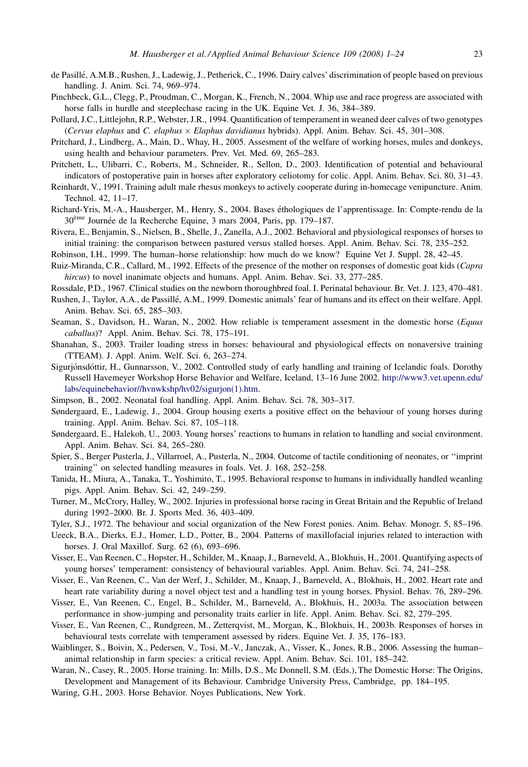- <span id="page-22-0"></span>de Pasille´, A.M.B., Rushen, J., Ladewig, J., Petherick, C., 1996. Dairy calves' discrimination of people based on previous handling. J. Anim. Sci. 74, 969–974.
- Pinchbeck, G.L., Clegg, P., Proudman, C., Morgan, K., French, N., 2004. Whip use and race progress are associated with horse falls in hurdle and steeplechase racing in the UK. Equine Vet. J. 36, 384–389.
- Pollard, J.C., Littlejohn, R.P., Webster, J.R., 1994. Quantification of temperament in weaned deer calves of two genotypes (Cervus elaphus and C. elaphus Elaphus davidianus hybrids). Appl. Anim. Behav. Sci. 45, 301–308.
- Pritchard, J., Lindberg, A., Main, D., Whay, H., 2005. Assesment of the welfare of working horses, mules and donkeys, using health and behaviour parameters. Prev. Vet. Med. 69, 265–283.
- Pritchett, L., Ulibarri, C., Roberts, M., Schneider, R., Sellon, D., 2003. Identification of potential and behavioural indicators of postoperative pain in horses after exploratory celiotomy for colic. Appl. Anim. Behav. Sci. 80, 31–43.
- Reinhardt, V., 1991. Training adult male rhesus monkeys to actively cooperate during in-homecage venipuncture. Anim. Technol. 42, 11–17.
- Richard-Yris, M.-A., Hausberger, M., Henry, S., 2004. Bases éthologiques de l'apprentissage. In: Compte-rendu de la 30<sup>ème</sup> Journée de la Recherche Equine, 3 mars 2004, Paris, pp. 179–187.
- Rivera, E., Benjamin, S., Nielsen, B., Shelle, J., Zanella, A.J., 2002. Behavioral and physiological responses of horses to initial training: the comparison between pastured versus stalled horses. Appl. Anim. Behav. Sci. 78, 235–252.
- Robinson, I.H., 1999. The human–horse relationship: how much do we know? Equine Vet J. Suppl. 28, 42–45.
- Ruiz-Miranda, C.R., Callard, M., 1992. Effects of the presence of the mother on responses of domestic goat kids (Capra hircus) to novel inanimate objects and humans. Appl. Anim. Behav. Sci. 33, 277-285.
- Rossdale, P.D., 1967. Clinical studies on the newborn thoroughbred foal. I. Perinatal behaviour. Br. Vet. J. 123, 470–481.
- Rushen, J., Taylor, A.A., de Passillé, A.M., 1999. Domestic animals' fear of humans and its effect on their welfare. Appl. Anim. Behav. Sci. 65, 285–303.
- Seaman, S., Davidson, H., Waran, N., 2002. How reliable is temperament assesment in the domestic horse (Equus caballus)? Appl. Anim. Behav. Sci. 78, 175–191.
- Shanahan, S., 2003. Trailer loading stress in horses: behavioural and physiological effects on nonaversive training (TTEAM). J. Appl. Anim. Welf. Sci. 6, 263–274.
- Sigurjónsdóttir, H., Gunnarsson, V., 2002. Controlled study of early handling and training of Icelandic foals. Dorothy Russell Havemeyer Workshop Horse Behavior and Welfare, Iceland, 13–16 June 2002. [http://www3.vet.upenn.edu/](http://dx.doi.org/10.1016/j.applanim.2006.10.003) [labs/equinebehavior//hvnwkshp/hv02/sigurjon\(1\).htm.](http://dx.doi.org/10.1016/j.applanim.2006.10.003)
- Simpson, B., 2002. Neonatal foal handling. Appl. Anim. Behav. Sci. 78, 303–317.
- Søndergaard, E., Ladewig, J., 2004. Group housing exerts a positive effect on the behaviour of young horses during training. Appl. Anim. Behav. Sci. 87, 105–118.
- Søndergaard, E., Halekoh, U., 2003. Young horses' reactions to humans in relation to handling and social environment. Appl. Anim. Behav. Sci. 84, 265–280.
- Spier, S., Berger Pusterla, J., Villarroel, A., Pusterla, N., 2004. Outcome of tactile conditioning of neonates, or ''imprint training'' on selected handling measures in foals. Vet. J. 168, 252–258.
- Tanida, H., Miura, A., Tanaka, T., Yoshimito, T., 1995. Behavioral response to humans in individually handled weanling pigs. Appl. Anim. Behav. Sci. 42, 249–259.
- Turner, M., McCrory, Halley, W., 2002. Injuries in professional horse racing in Great Britain and the Republic of Ireland during 1992–2000. Br. J. Sports Med. 36, 403–409.
- Tyler, S.J., 1972. The behaviour and social organization of the New Forest ponies. Anim. Behav. Monogr. 5, 85–196.
- Ueeck, B.A., Dierks, E.J., Homer, L.D., Potter, B., 2004. Patterns of maxillofacial injuries related to interaction with horses. J. Oral Maxillof. Surg. 62 (6), 693–696.
- Visser, E., Van Reenen, C., Hopster, H., Schilder, M., Knaap, J., Barneveld, A., Blokhuis, H., 2001. Quantifying aspects of young horses' temperament: consistency of behavioural variables. Appl. Anim. Behav. Sci. 74, 241–258.
- Visser, E., Van Reenen, C., Van der Werf, J., Schilder, M., Knaap, J., Barneveld, A., Blokhuis, H., 2002. Heart rate and heart rate variability during a novel object test and a handling test in young horses. Physiol. Behav. 76, 289–296.
- Visser, E., Van Reenen, C., Engel, B., Schilder, M., Barneveld, A., Blokhuis, H., 2003a. The association between performance in show-jumping and personality traits earlier in life. Appl. Anim. Behav. Sci. 82, 279–295.
- Visser, E., Van Reenen, C., Rundgreen, M., Zetterqvist, M., Morgan, K., Blokhuis, H., 2003b. Responses of horses in behavioural tests correlate with temperament assessed by riders. Equine Vet. J. 35, 176–183.
- Waiblinger, S., Boivin, X., Pedersen, V., Tosi, M.-V., Janczak, A., Visser, K., Jones, R.B., 2006. Assessing the human– animal relationship in farm species: a critical review. Appl. Anim. Behav. Sci. 101, 185–242.
- Waran, N., Casey, R., 2005. Horse training. In: Mills, D.S., Mc Donnell, S.M. (Eds.), The Domestic Horse: The Origins, Development and Management of its Behaviour. Cambridge University Press, Cambridge, pp. 184–195.
- Waring, G.H., 2003. Horse Behavior. Noyes Publications, New York.